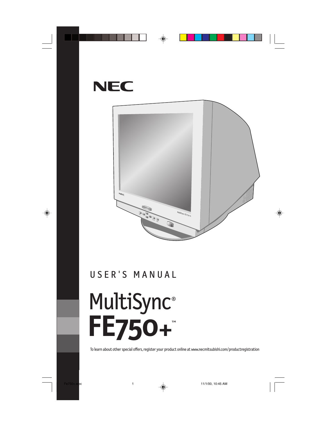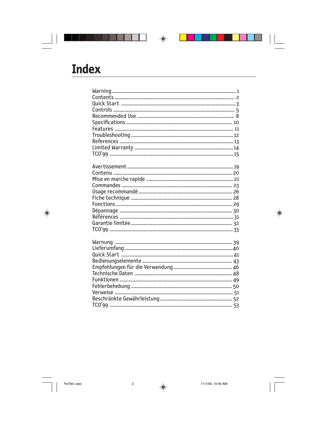# **Index**

 $\begin{array}{c|c} & \multicolumn{1}{c|}{\phantom{-}} \\ \hline \multicolumn{1}{c|}{\phantom{-}} \multicolumn{1}{c|}{\phantom{-}} \multicolumn{1}{c|}{\phantom{-}} \multicolumn{1}{c|}{\phantom{-}} \multicolumn{1}{c|}{\phantom{-}} \multicolumn{1}{c|}{\phantom{-}} \multicolumn{1}{c|}{\phantom{-}} \multicolumn{1}{c|}{\phantom{-}} \multicolumn{1}{c|}{\phantom{-}} \multicolumn{1}{c|}{\phantom{-}} \multicolumn{1}{c|}{\phantom{-}} \multicolumn{1}{c|}{\phantom{-}} \multicolumn{1}{c|}{\$ 

 $\Rightarrow$ 

▌▊▊▊▊▊▊▊▊▊▊▊▊▏▗<sub></sub>

<u> 1920 - Politika Aleksandro (h. 18</u>

 $\bigoplus$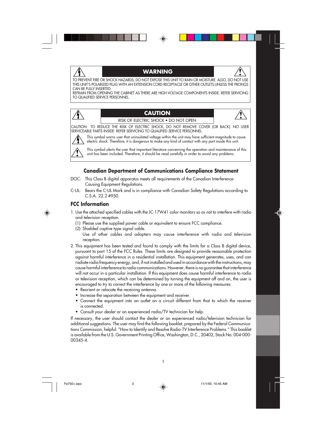#### **WARNING**



TO PREVENT FIRE OR SHOCK HAZARDS, DO NOT EXPOSE THIS UNIT TO RAIN OR MOISTURE. ALSO, DO NOT USE THIS UNIT'S POLARIZED PLUG WITH AN EXTENSION CORD RECEPTACLE OR OTHER OUTLETS UNLESS THE PRONGS CAN BE FULLY INSERTED.

REFRAIN FROM OPENING THE CABINET AS THERE ARE HIGH VOLTAGE COMPONENTS INSIDE. REFER SERVICING TO QUALIFIED SERVICE PERSONNEL.

#### **CAUTION**

RISK OF ELECTRIC SHOCK • DO NOT OPEN

CAUTION: TO REDUCE THE RISK OF ELECTRIC SHOCK, DO NOT REMOVE COVER (OR BACK). NO USER SERVICEABLE PARTS INSIDE. REFER SERVICING TO QUALIFIED SERVICE PERSONNEL.

This symbol warns user that uninsulated voltage within the unit may have sufficient magnitude to cause electric shock. Therefore, it is dangerous to make any kind of contact with any part inside this unit.

This symbol alerts the user that important literature concerning the operation and maintenance of this unit has been included. Therefore, it should be read carefully in order to avoid any problems.

#### **Canadian Department of Communications Compliance Statement**

- DOC: This Class B digital apparatus meets all requirements of the Canadian Interference-Causing Equipment Regulations.
- C-UL: Bears the C-UL Mark and is in compliance with Canadian Safety Regulations according to C.S.A. 22.2 #950.

#### **FCC Information**

- 1. Use the attached specified cables with the JC-17W41 color monitors so as not to interfere with radio and television reception.
	- (1) Please use the supplied power cable or equivalent to ensure FCC compliance.
	- (2) Shielded captive type signal cable.
		- Use of other cables and adapters may cause interference with radio and television reception.
- 2. This equipment has been tested and found to comply with the limits for a Class B digital device, pursuant to part 15 of the FCC Rules. These limits are designed to provide reasonable protection against harmful interference in a residential installation. This equipment generates, uses, and can radiate radio frequency energy, and, if not installed and used in accordance with the instructions, may cause harmful interference to radio communications. However, there is no guarantee that interference will not occur in a particular installation. If this equipment does cause harmful interference to radio or television reception, which can be determined by turning the equipment off and on, the user is encouraged to try to correct the interference by one or more of the following measures:
	- Reorient or relocate the receiving antenna.
	- Increase the separation between the equipment and receiver.
	- Connect the equipment into an outlet on a circuit different from that to which the receiver is connected.
	- Consult your dealer or an experienced radio/TV technician for help.

If necessary, the user should contact the dealer or an experienced radio/television technician for additional suggestions. The user may find the following booklet, prepared by the Federal Communications Commission, helpful: "How to Identify and Resolve Radio-TV Interference Problems." This booklet is available from the U.S. Government Printing Office, Washington, D.C., 20402, Stock No. 004-000- 00345-4.

Fe750+.wpc 3 11/1/00, 10:45 AM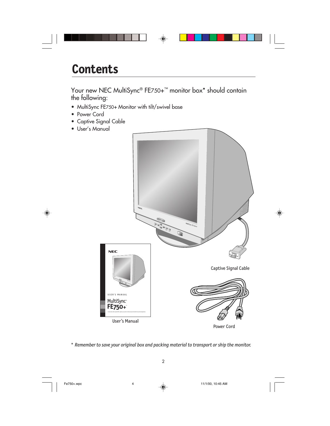| <b>Contents</b>                                                                                                                                                                                                                                                                                                                                                                                        |
|--------------------------------------------------------------------------------------------------------------------------------------------------------------------------------------------------------------------------------------------------------------------------------------------------------------------------------------------------------------------------------------------------------|
| Your new NEC MultiSync® FE750+ <sup>™</sup> monitor box* should contain<br>the following:<br>• MultiSync FE750+ Monitor with tilt/swivel base<br>• Power Cord<br>• Captive Signal Cable<br>· User's Manual<br>$N\in\mathbb{C}$<br><b>CORE</b><br>$M_{\text{MNS}}$ ync FE750+<br><b>NEC</b><br>Captive Signal Cable<br>USER'S MANUAL<br>MultiSync <sup>®</sup><br>FE750+<br>User's Manual<br>Power Cord |

*\* Remember to save your original box and packing material to transport or ship the monitor.*

Fe750+.wpc 4 11/1/00, 10:45 AM

 $\overline{\overline{\phantom{1}}}$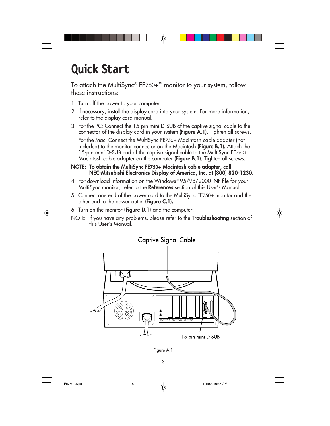# **Quick Start**

To attach the MultiSync® FE750+™ monitor to your system, follow these instructions:

- 1. Turn off the power to your computer.
- 2. If necessary, install the display card into your system. For more information, refer to the display card manual.
- 3. For the PC: Connect the 15-pin mini D-SUB of the captive signal cable to the connector of the display card in your system **(Figure A.1).** Tighten all screws.

For the Mac: Connect the MultiSync FE750+ Macintosh cable adapter (not included) to the monitor connector on the Macintosh **(Figure B.1).** Attach the 15-pin mini D-SUB end of the captive signal cable to the MultiSync FE750+ Macintosh cable adapter on the computer **(Figure B.1).** Tighten all screws.

#### **NOTE: To obtain the MultiSync FE750+ Macintosh cable adapter, call NEC-Mitsubishi Electronics Display of America, Inc. at (800) 820-1230.**

- 4. For download information on the Windows® 95/98/2000 INF file for your MultiSync monitor, refer to the **References** section of this User's Manual.
- 5. Connect one end of the power cord to the MultiSync FE750+ monitor and the other end to the power outlet **(Figure C.1).**
- 6. Turn on the monitor **(Figure D.1)** and the computer.
- NOTE: If you have any problems, please refer to the **Troubleshooting** section of this User's Manual.



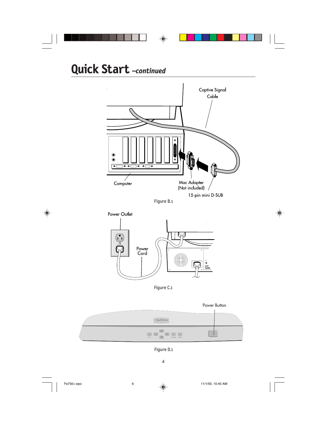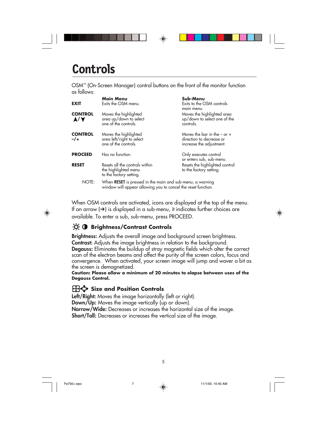# **Controls**

OSM™ (On-Screen Manager) control buttons on the front of the monitor function as follows:

|                        | <b>Main Menu</b>                                                                  | Sub-Menu                                                                                                                   |  |
|------------------------|-----------------------------------------------------------------------------------|----------------------------------------------------------------------------------------------------------------------------|--|
| <b>EXIT</b>            | Exits the OSM menu.                                                               | Exits to the OSM controls<br>main menu.                                                                                    |  |
| <b>CONTROL</b><br>A/V  | Moves the highlighted<br>area up/down to select<br>one of the controls.           | Moves the highlighted area<br>up/down to select one of the<br>controls.                                                    |  |
| <b>CONTROL</b><br>$-1$ | Moves the highlighted<br>area left/right to select<br>one of the controls.        | Moves the bar in the $-$ or $+$<br>direction to decrease or<br>increase the adjustment.                                    |  |
| <b>PROCEED</b>         | Has no function.                                                                  | Only executes control<br>or enters sub, sub-menu.                                                                          |  |
| <b>RESET</b>           | Resets all the controls within<br>the highlighted menu<br>to the factory setting. | Resets the highlighted control<br>to the factory setting.                                                                  |  |
| NOTE:                  |                                                                                   | When RESET is pressed in the main and sub-menu, a warning<br>window will appear allowing you to cancel the reset function. |  |

When OSM controls are activated, icons are displayed at the top of the menu. If an arrow  $\rightarrow$ ) is displayed in a sub-menu, it indicates further choices are available. To enter a sub, sub-menu, press PROCEED.



**Brightness:** Adjusts the overall image and background screen brightness. **Contrast:** Adjusts the image brightness in relation to the background. **Degauss:** Eliminates the buildup of stray magnetic fields which alter the correct scan of the electron beams and affect the purity of the screen colors, focus and convergence. When activated, your screen image will jump and waver a bit as the screen is demagnetized.

**Caution: Please allow a minimum of 20 minutes to elapse between uses of the Degauss Control.**

5

### **H**<sup>t</sup>+ Size and Position Controls

**Left/Right:** Moves the image horizontally (left or right). **Down/Up:** Moves the image vertically (up or down). **Narrow/Wide:** Decreases or increases the horizontal size of the image. **Short/Tall:** Decreases or increases the vertical size of the image.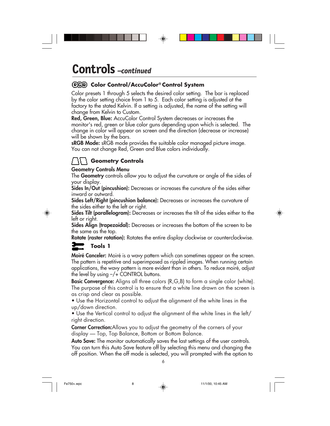### **Controls** *–continued*

#### **Color Control/AccuColor® Control System**

Color presets 1 through 5 selects the desired color setting. The bar is replaced by the color setting choice from 1 to 5. Each color setting is adjusted at the factory to the stated Kelvin. If a setting is adjusted, the name of the setting will change from Kelvin to Custom.

**Red, Green, Blue:** AccuColor Control System decreases or increases the monitor's red, green or blue color guns depending upon which is selected. The change in color will appear on screen and the direction (decrease or increase) will be shown by the bars.

**sRGB Mode:** sRGB mode provides the suitable color managed picture image. You can not change Red, Green and Blue colors individually.

#### **Geometry Controls**

#### **Geometry Controls Menu**

The **Geometry** controls allow you to adjust the curvature or angle of the sides of your display.

**Sides In/Out (pincushion):** Decreases or increases the curvature of the sides either inward or outward.

**Sides Left/Right (pincushion balance):** Decreases or increases the curvature of the sides either to the left or right.

**Sides Tilt (parallelogram):** Decreases or increases the tilt of the sides either to the left or right.

**Sides Align (trapezoidal):** Decreases or increases the bottom of the screen to be the same as the top.

**Rotate (raster rotation):** Rotates the entire display clockwise or counterclockwise.

#### **Tools 1**

**Moiré Canceler:** Moiré is a wavy pattern which can sometimes appear on the screen. The pattern is repetitive and superimposed as rippled images. When running certain applications, the wavy pattern is more evident than in others. To reduce moiré, adjust the level by using –/+ CONTROL buttons.

**Basic Convergence:** Aligns all three colors (R,G,B) to form a single color (white). The purpose of this control is to ensure that a white line drawn on the screen is as crisp and clear as possible.

• Use the Horizontal control to adjust the alignment of the white lines in the up/down direction.

• Use the Vertical control to adjust the alignment of the white lines in the left/ right direction.

**Corner Correction:**Allows you to adjust the geometry of the corners of your display — Top, Top Balance, Bottom or Bottom Balance.

**Auto Save:** The monitor automatically saves the last settings of the user controls. You can turn this Auto Save feature off by selecting this menu and changing the off position. When the off mode is selected, you will prompted with the option to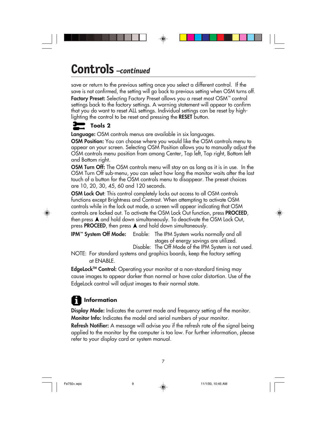### **Controls** *–continued*

save or return to the previous setting once you select a different control. If the save is not confirmed, the setting will go back to previous setting when OSM turns off. **Factory Preset:** Selecting Factory Preset allows you a reset most OSM™ control settings back to the factory settings. A warning statement will appear to confirm that you do want to reset ALL settings. Individual settings can be reset by highlighting the control to be reset and pressing the **RESET** button.

### **Tools 2**

**Language:** OSM controls menus are available in six languages.

**OSM Position:** You can choose where you would like the OSM controls menu to appear on your screen. Selecting OSM Position allows you to manually adjust the OSM controls menu position from among Center, Top left, Top right, Bottom left and Bottom right.

**OSM Turn Off:** The OSM controls menu will stay on as long as it is in use. In the OSM Turn Off sub-menu, you can select how long the monitor waits after the last touch of a button for the OSM controls menu to disappear. The preset choices are 10, 20, 30, 45, 60 and 120 seconds.

**OSM Lock Out**: This control completely locks out access to all OSM controls functions except Brightness and Contrast. When attempting to activate OSM controls while in the lock out mode, a screen will appear indicating that OSM controls are locked out. To activate the OSM Lock Out function, press **PROCEED**, then press  $\blacktriangle$  and hold down simultaneously. To deactivate the OSM Lock Out, press **PROCEED**, then press  $\blacktriangle$  and hold down simultaneously.

**IPM™ System Off Mode:** Enable: The IPM System works normally and all stages of energy savings are utilized.

Disable: The Off Mode of the IPM System is not used. NOTE: For standard systems and graphics boards, keep the factory setting at ENABLE.

**EdgeLockTM Control:** Operating your monitor at a non-standard timing may cause images to appear darker than normal or have color distortion. Use of the EdgeLock control will adjust images to their normal state.

### **T** Information

**Display Mode:** Indicates the current mode and frequency setting of the monitor. **Monitor Info:** Indicates the model and serial numbers of your monitor.

**Refresh Notifier:** A message will advise you if the refresh rate of the signal being applied to the monitor by the computer is too low. For further information, please refer to your display card or system manual.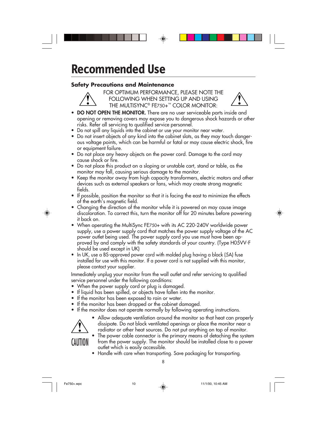# **Recommended Use**

#### **Safety Precautions and Maintenance**



FOR OPTIMUM PERFORMANCE, PLEASE NOTE THE FOLLOWING WHEN SETTING UP AND USING THE MULTISYNC® FE750+™ COLOR MONITOR:

- **DO NOT OPEN THE MONITOR.** There are no user serviceable parts inside and opening or removing covers may expose you to dangerous shock hazards or other risks. Refer all servicing to qualified service personnel.
- **•** Do not spill any liquids into the cabinet or use your monitor near water.
- **•** Do not insert objects of any kind into the cabinet slots, as they may touch dangerous voltage points, which can be harmful or fatal or may cause electric shock, fire or equipment failure.
- **•** Do not place any heavy objects on the power cord. Damage to the cord may cause shock or fire.
- **•** Do not place this product on a sloping or unstable cart, stand or table, as the monitor may fall, causing serious damage to the monitor.
- **•** Keep the monitor away from high capacity transformers, electric motors and other devices such as external speakers or fans, which may create strong magnetic fields.
- **•** If possible, position the monitor so that it is facing the east to minimize the effects of the earth's magnetic field.
- **•** Changing the direction of the monitor while it is powered on may cause image discoloration. To correct this, turn the monitor off for 20 minutes before powering it back on.
- **•** When operating the MultiSync FE750+ with its AC 220-240V worldwide power supply, use a power supply cord that matches the power supply voltage of the AC power outlet being used. The power supply cord you use must have been approved by and comply with the safety standards of your country. (Type H05VV-F should be used except in UK)
- **•** In UK, use a BS-approved power cord with molded plug having a black (5A) fuse installed for use with this monitor. If a power cord is not supplied with this monitor, please contact your supplier.

Immediately unplug your monitor from the wall outlet and refer servicing to qualified service personnel under the following conditions:

- **•** When the power supply cord or plug is damaged.
- **•** If liquid has been spilled, or objects have fallen into the monitor.
- **•** If the monitor has been exposed to rain or water.
- **•** If the monitor has been dropped or the cabinet damaged.
- **•** If the monitor does not operate normally by following operating instructions.



**•** Allow adequate ventilation around the monitor so that heat can properly dissipate. Do not block ventilated openings or place the monitor near a radiator or other heat sources. Do not put anything on top of monitor.

**•** The power cable connector is the primary means of detaching the system from the power supply. The monitor should be installed close to a power outlet which is easily accessible.

**•** Handle with care when transporting. Save packaging for transporting.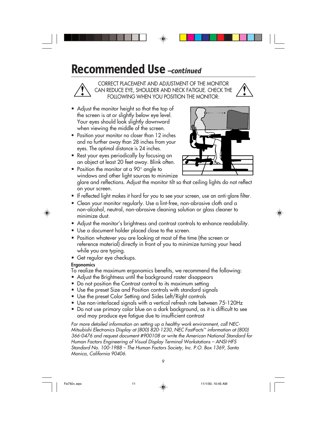### **Recommended Use** *–continued*

CORRECT PLACEMENT AND ADJUSTMENT OF THE MONITOR CAN REDUCE EYE, SHOULDER AND NECK FATIGUE. CHECK THE FOLLOWING WHEN YOU POSITION THE MONITOR:

- **•** Adjust the monitor height so that the top of the screen is at or slightly below eye level. Your eyes should look slightly downward when viewing the middle of the screen.
- **•** Position your monitor no closer than 12 inches and no further away than 28 inches from your eyes. The optimal distance is 24 inches.
- **•** Rest your eyes periodically by focusing on an object at least 20 feet away. Blink often.

**•** Position the monitor at a 90° angle to



windows and other light sources to minimize glare and reflections. Adjust the monitor tilt so that ceiling lights do not reflect on your screen.

- **•** If reflected light makes it hard for you to see your screen, use an anti-glare filter.
- **•** Clean your monitor regularly. Use a lint-free, non-abrasive cloth and a non-alcohol, neutral, non-abrasive cleaning solution or glass cleaner to minimize dust.
- **•** Adjust the monitor's brightness and contrast controls to enhance readability.
- **•** Use a document holder placed close to the screen.
- **•** Position whatever you are looking at most of the time (the screen or reference material) directly in front of you to minimize turning your head while you are typing.
- **•** Get regular eye checkups.

#### **Ergonomics**

To realize the maximum ergonomics benefits, we recommend the following:

- Adjust the Brightness until the background raster disappears
- Do not position the Contrast control to its maximum setting
- Use the preset Size and Position controls with standard signals
- Use the preset Color Setting and Sides Left/Right controls
- Use non-interlaced signals with a vertical refresh rate between 75-120Hz
- Do not use primary color blue on a dark background, as it is difficult to see and may produce eye fatigue due to insufficient contrast

For more detailed information on setting up a healthy work environment, call NEC-Mitsubishi Electronics Display at (800) 820-1230, NEC FastFacts™ information at (800) 366-0476 and request document #900108 or write the American National Standard for Human Factors Engineering of Visual Display Terminal Workstations – ANSI-HFS Standard No. 100-1988 – The Human Factors Society, Inc. P.O. Box 1369, Santa Monica, California 90406.

Fe750+.wpc 11 11 11  $\downarrow$  11/1/00, 10:45 AM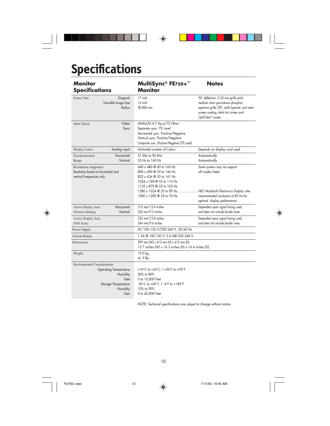# **Specifications**

 $\overline{a}$ 

 $\bigoplus$ 

| Monitor<br><b>Specifications</b>                                                                                                         | MultiSync® FE750+™<br><b>Monitor</b>                                                                                                                                             | <b>Notes</b>                                                                                                                                                                                 |  |
|------------------------------------------------------------------------------------------------------------------------------------------|----------------------------------------------------------------------------------------------------------------------------------------------------------------------------------|----------------------------------------------------------------------------------------------------------------------------------------------------------------------------------------------|--|
| Diagonal:<br>Picture Tube<br>Viewable Image Size:<br>Radius:                                                                             | 17 inch<br>16 inch<br>50,000 mm                                                                                                                                                  | 90° deflection, 0.25 mm grille pitch,<br>medium short persistence phosphor,<br>aperture grille CRT, multi-layered, anti-static<br>screen coating, dark-tint screen and<br>OptiClear® screen. |  |
| Video:<br>Input Signal<br>Sync:                                                                                                          | ANALOG 0.7 Vp-p/75 Ohms<br>Separate sync. TTL Level<br>Horizontal sync. Positive/Negative<br>Vertical sync. Positive/Negative<br>Composite sync. (Positive/Negative) (TTL Level) |                                                                                                                                                                                              |  |
| Analog input:<br>Display Colors                                                                                                          | Unlimited number of Colors                                                                                                                                                       | Depends on display card used.                                                                                                                                                                |  |
| Horizontal:<br>Synchronization<br>Vertical:<br>Range                                                                                     | 31 kHz to 96 kHz<br>55 Hz to 160 Hz                                                                                                                                              | Automatically<br>Automatically                                                                                                                                                               |  |
| <b>Resolutions Supported</b><br>Resolution based on horizontal and<br>vertical frequencies only                                          | 640 x 480 @ 60 to 160 Hz<br>800 x 600 @ 55 to 146 Hz<br>832 x 624 @ 55 to 141 Hz<br>1024 x 768 @ 55 to 116 Hz<br>1152 x 870 @ 55 to 103 Hz                                       | Some systems may not support<br>all modes listed.                                                                                                                                            |  |
|                                                                                                                                          | 1600 x 1200 @ 55 to 76 Hz                                                                                                                                                        | 1280 x 1024 @ 55 to 89 Hz  NEC-Mistubishi Electronics Display cites<br>recommended resolution at 85 Hz for<br>optimal display performance.                                                   |  |
| Horizontal:<br>Active Display Area<br>Vertical:<br>(Factory Setting)                                                                     | 315 mm/12.4 inches<br>236 mm/9.3 inches                                                                                                                                          | Dependent upon signal timing used,<br>and does not include border area.                                                                                                                      |  |
| Active Display Area<br>(Full Scan)                                                                                                       | 325 mm/12.8 inches<br>244 mm/9.6 inches                                                                                                                                          | Dependent upon signal timing used,<br>and does not include border area.                                                                                                                      |  |
| Power Supply                                                                                                                             | AC 100-120 V/220-240 V, 50/60 Hz                                                                                                                                                 |                                                                                                                                                                                              |  |
| <b>Current Rating</b>                                                                                                                    | 1.3A @ 100-120 V, 0.6 A@ 220-240 V                                                                                                                                               |                                                                                                                                                                                              |  |
| 399 mm (W) x 413 mm (H) x 415 mm (D)<br><b>Dimensions</b><br>15.7 inches (W) x 16.3 inches (H) x 16.4 inches (D)                         |                                                                                                                                                                                  |                                                                                                                                                                                              |  |
| Weight                                                                                                                                   | 19.0 kg<br>41.9 lbs                                                                                                                                                              |                                                                                                                                                                                              |  |
| <b>Environmental Considerations</b><br><b>Operating Temperature:</b><br>Humidity:<br>Feet:<br>Storage Temperature:<br>Humidity:<br>Feet: | +10°C to +35°C / +50°F to +95°F<br>30% to 80%<br>0 to 10,000 Feet<br>-20°C to +60°C / -4°F to +140°F<br>10% to 90%<br>0 to 45,000 Feet                                           |                                                                                                                                                                                              |  |

 $\Rightarrow$ 

NOTE: Technical specifications are subject to change without notice.

10

Fe750+.wpc 12 11/1/00, 10:45 AM

 $\mathsf{L}$ 

 $\bigoplus$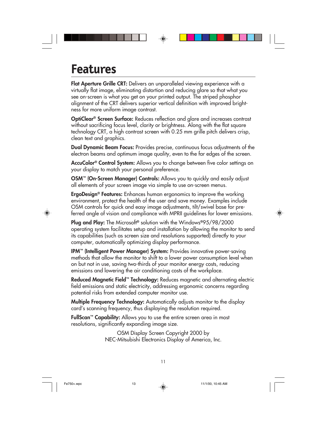### **Features**

**Flat Aperture Grille CRT:** Delivers an unparalleled viewing experience with a virtually flat image, eliminating distortion and reducing glare so that what you see on-screen is what you get on your printed output. The striped phosphor alignment of the CRT delivers superior vertical definition with improved brightness for more uniform image contrast.

**OptiClear® Screen Surface:** Reduces reflection and glare and increases contrast without sacrificing focus level, clarity or brightness. Along with the flat square technology CRT, a high contrast screen with 0.25 mm grille pitch delivers crisp, clean text and graphics.

**Dual Dynamic Beam Focus:** Provides precise, continuous focus adjustments of the electron beams and optimum image quality, even to the far edges of the screen.

**AccuColor® Control System:** Allows you to change between five color settings on your display to match your personal preference.

**OSM™ (On-Screen Manager) Controls:** Allows you to quickly and easily adjust all elements of your screen image via simple to use on-screen menus.

**ErgoDesign® Features:** Enhances human ergonomics to improve the working environment, protect the health of the user and save money. Examples include OSM controls for quick and easy image adjustments, tilt/swivel base for preferred angle of vision and compliance with MPRII guidelines for lower emissions.

**Plug and Play:** The Microsoft**®** solution with the Windows**®**95/98/2000 operating system facilitates setup and installation by allowing the monitor to send its capabilities (such as screen size and resolutions supported) directly to your computer, automatically optimizing display performance.

**IPM™ (Intelligent Power Manager) System:** Provides innovative power-saving methods that allow the monitor to shift to a lower power consumption level when on but not in use, saving two-thirds of your monitor energy costs, reducing emissions and lowering the air conditioning costs of the workplace.

**Reduced Magnetic Field™ Technology:** Reduces magnetic and alternating electric field emissions and static electricity, addressing ergonomic concerns regarding potential risks from extended computer monitor use.

**Multiple Frequency Technology:** Automatically adjusts monitor to the display card's scanning frequency, thus displaying the resolution required.

**FullScan™ Capability:** Allows you to use the entire screen area in most resolutions, significantly expanding image size.

> OSM Display Screen Copyright 2000 by NEC-Mitsubishi Electronics Display of America, Inc.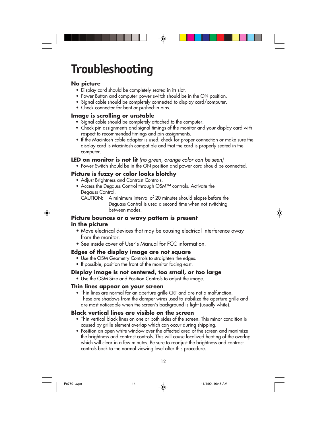## **Troubleshooting**

#### **No picture**

- Display card should be completely seated in its slot.
- Power Button and computer power switch should be in the ON position.
- Signal cable should be completely connected to display card/computer.
- Check connector for bent or pushed-in pins.

#### **Image is scrolling or unstable**

- Signal cable should be completely attached to the computer.
- Check pin assignments and signal timings of the monitor and your display card with respect to recommended timings and pin assignments.
- If the Macintosh cable adapter is used, check for proper connection or make sure the display card is Macintosh compatible and that the card is properly seated in the computer.
- **LED on monitor is not lit** (no green, orange color can be seen)
	- Power Switch should be in the ON position and power cord should be connected.

#### **Picture is fuzzy or color looks blotchy**

- Adjust Brightness and Contrast Controls.
- Access the Degauss Control through OSM™ controls. Activate the Degauss Control.
	- CAUTION: A minimum interval of 20 minutes should elapse before the Deguass Control is used a second time when not switching between modes.

#### **Picture bounces or a wavy pattern is present in the picture**

- Move electrical devices that may be causing electrical interference away from the monitor.
- See inside cover of User's Manual for FCC information.

#### **Edges of the display image are not square**

- Use the OSM Geometry Controls to straighten the edges.
- If possible, position the front of the monitor facing east.

#### **Display image is not centered, too small, or too large**

• Use the OSM Size and Position Controls to adjust the image.

#### **Thin lines appear on your screen**

• Thin lines are normal for an aperture grille CRT and are not a malfunction. These are shadows from the damper wires used to stabilize the aperture grille and are most noticeable when the screen's background is light (usually white).

#### **Black vertical lines are visible on the screen**

- Thin vertical black lines on one or both sides of the screen. This minor condition is caused by grille element overlap which can occur during shipping.
- Position an open white window over the affected area of the screen and maximize the brightness and contrast controls. This will cause localized heating of the overlap which will clear in a few minutes. Be sure to readjust the brightness and contrast controls back to the normal viewing level after this procedure.

Fe750+.wpc 14 14  $\downarrow$  11/1/00, 10:45 AM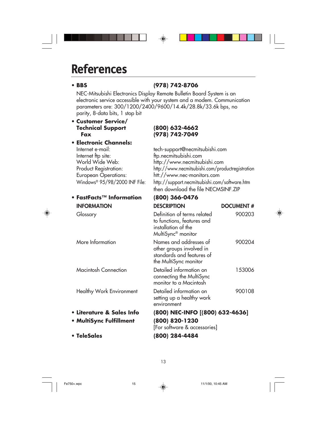### **References**

### **• BBS (978) 742-8706**

NEC-Mitsubishi Electronics Display Remote Bulletin Board System is an electronic service accessible with your system and a modem. Communication parameters are: 300/1200/2400/9600/14.4k/28.8k/33.6k bps, no parity, 8-data bits, 1 stop bit

◈

### **• Customer Service/ Technical Support (800) 632-4662**

♠

### **Fax (978) 742-7049**

| <b>• Electronic Channels:</b> |                                                  |
|-------------------------------|--------------------------------------------------|
| Internet e-mail:              | tech-support@necmitsubishi.com                   |
| Internet ftp site:            | ftp.necmitsubishi.com                            |
| World Wide Web:               | http://www.necmitsubishi.com                     |
| Product Registration:         | http://www.necmitsubishi.com/productregistration |
| <b>European Operations:</b>   | htt://www.nec-monitors.com                       |
| Windows® 95/98/2000 INF File: | http://support.necmitsubishi.com/software.htm    |
|                               | then download the file NECMSINF.ZIP              |

#### **• FastFacts™ Information (800) 366-0476**

| <b>INFORMATION</b>        | <b>DESCRIPTION</b>                                                                                                 | <b>DOCUMENT#</b> |
|---------------------------|--------------------------------------------------------------------------------------------------------------------|------------------|
| Glossary                  | Definition of terms related<br>to functions, features and<br>installation of the<br>MultiSync <sup>®</sup> monitor | 900203           |
| More Information          | Names and addresses of<br>other groups involved in<br>standards and features of<br>the MultiSync monitor           | 900204           |
| Macintosh Connection      | Detailed information on<br>connecting the MultiSync<br>monitor to a Macintosh                                      | 153006           |
| Healthy Work Environment  | Detailed information on<br>setting up a healthy work<br>environment                                                | 900108           |
| • Literature & Sales Info | (800) NEC-INFO [(800) 632-4636]                                                                                    |                  |
| • MultiSync Fulfillment   | (800) 820-1230<br>[For software & accessories]                                                                     |                  |
| • TeleSales               | (800) 284-4484                                                                                                     |                  |

Fe750+.wpc 15 11/1/00, 10:45 AM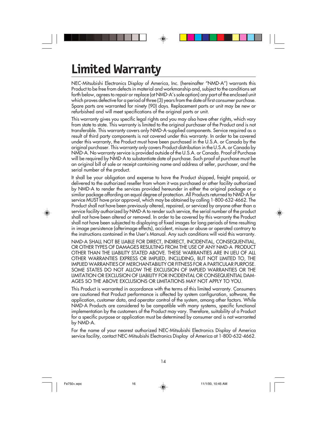# **Limited Warranty**

NEC-Mitsubishi Electronics Display of America, Inc. (hereinafter "NMD-A") warrants this Product to be free from defects in material and workmanship and, subject to the conditions set forth below, agrees to repair or replace (at NMD-A's sole option) any part of the enclosed unit which proves defective for a period of three (3) years from the date of first consumer purchase. Spare parts are warranted for ninety (90) days. Replacement parts or unit may be new or refurbished and will meet specifications of the original parts or unit.

This warranty gives you specific legal rights and you may also have other rights, which vary from state to state. This warranty is limited to the original purchaser of the Product and is not transferable. This warranty covers only NMD-A-supplied components. Service required as a result of third party components is not covered under this warranty. In order to be covered under this warranty, the Product must have been purchased in the U.S.A. or Canada by the original purchaser. This warranty only covers Product distribution in the U.S.A. or Canada by NMD-A. No warranty service is provided outside of the U.S.A. or Canada. Proof of Purchase will be required by NMD-A to substantiate date of purchase. Such proof of purchase must be an original bill of sale or receipt containing name and address of seller, purchaser, and the serial number of the product.

It shall be your obligation and expense to have the Product shipped, freight prepaid, or delivered to the authorized reseller from whom it was purchased or other facility authorized by NMD-A to render the services provided hereunder in either the original package or a similar package affording an equal degree of protection. All Products returned to NMD-A for service MUST have prior approval, which may be obtained by calling 1-800-632-4662. The Product shall not have been previously altered, repaired, or serviced by anyone other than a service facility authorized by NMD-A to render such service, the serial number of the product shall not have been altered or removed. In order to be covered by this warranty the Product shall not have been subjected to displaying of fixed images for long periods of time resulting in image persistence (afterimage effects), accident, misuse or abuse or operated contrary to the instructions contained in the User's Manual. Any such conditions will void this warranty.

NMD-A SHALL NOT BE LIABLE FOR DIRECT, INDIRECT, INCIDENTAL, CONSEQUENTIAL, OR OTHER TYPES OF DAMAGES RESULTING FROM THE USE OF ANY NMD-A PRODUCT OTHER THAN THE LIABILITY STATED ABOVE. THESE WARRANTIES ARE IN LIEU OF ALL OTHER WARRANTIES EXPRESS OR IMPLIED, INCLUDING, BUT NOT LIMITED TO, THE IMPLIED WARRANTIES OF MERCHANTABILITY OR FITNESS FOR A PARTICULAR PURPOSE. SOME STATES DO NOT ALLOW THE EXCLUSION OF IMPLIED WARRANTIES OR THE LIMITATION OR EXCLUSION OF LIABILITY FOR INCIDENTAL OR CONSEQUENTIAL DAM-AGES SO THE ABOVE EXCLUSIONS OR LIMITATIONS MAY NOT APPLY TO YOU.

This Product is warranted in accordance with the terms of this limited warranty. Consumers are cautioned that Product performance is affected by system configuration, software, the application, customer data, and operator control of the system, among other factors. While NMD-A Products are considered to be compatible with many systems, specific functional implementation by the customers of the Product may vary. Therefore, suitability of a Product for a specific purpose or application must be determined by consumer and is not warranted by NMD-A.

For the name of your nearest authorized NEC-Mitsubishi Electronics Display of America service facility, contact NEC-Mitsubishi Electronics Display of America at 1-800-632-4662.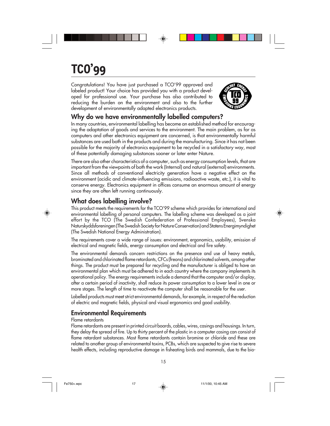# **TCO'99**

Congratulations! You have just purchased a TCO'99 approved and labeled product! Your choice has provided you with a product developed for professional use. Your purchase has also contributed to reducing the burden on the environment and also to the further development of environmentally adapted electronics products.



#### **Why do we have environmentally labelled computers?**

In many countries, environmental labelling has become an established method for encouraging the adaptation of goods and services to the environment. The main problem, as far as computers and other electronics equipment are concerned, is that environmentally harmful substances are used both in the products and during the manufacturing. Since it has not been possible for the majority of electronics equipment to be recycled in a satisfactory way, most of these potentially damaging substances sooner or later enter Nature.

There are also other characteristics of a computer, such as energy consumption levels, that are important from the viewpoints of both the work (Internal) and natural (external) environments. Since all methods of conventional electricity generation have a negative effect on the environment (acidic and climate-influencing emissions, radioactive waste, etc.), it is vital to conserve energy. Electronics equipment in offices consume an enormous amount of energy since they are often left running continuously.

#### **What does labelling involve?**

This product meets the requirements for the TCO'99 scheme which provides for international and environmental labelling of personal computers. The labelling scheme was developed as a joint effort by the TCO (The Swedish Confederation of Professional Employees), Svenska Naturskyddsforeningen (The Swedish Society for Nature Conservation) and Statens Energimyndighet (The Swedish National Energy Administration).

The requirements cover a wide range of issues: environment, ergonomics, usability, emission of electrical and magnetic fields, energy consumption and electrical and fire safety.

The environmental demands concern restrictions on the presence and use of heavy metals, brominated and chlorinated flame retardants, CFCs (freons) and chlorinated solvents, among other things. The product must be prepared for recycling and the manufacturer is obliged to have an environmental plan which must be adhered to in each country where the company implements its operational policy. The energy requirements include a demand that the computer and/or display, after a certain period of inactivity, shall reduce its power consumption to a lower level in one or more stages. The length of time to reactivate the computer shall be reasonable for the user.

Labelled products must meet strict environmental demands, for example, in respect of the reduction of electric and magnetic fields, physical and visual ergonomics and good usability.

#### **Environmental Requirements**

#### Flame retardants

Flame retardants are present in printed circuit boards, cables, wires, casings and housings. In turn, they delay the spread of fire. Up to thirty percent of the plastic in a computer casing can consist of flame retardant substances. Most flame retardants contain bromine or chloride and these are related to another group of environmental toxins, PCBs, which are suspected to give rise to severe health effects, including reproductive damage in fisheating birds and mammals, due to the bio-

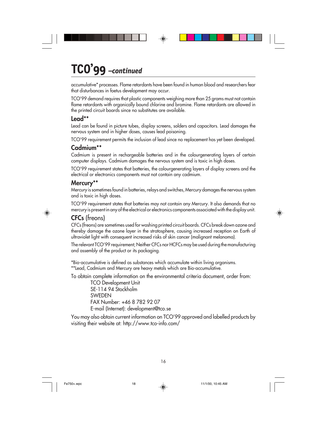### **TCO'99** *–continued*

accumulative\* processes. Flame retardants have been found in human blood and researchers fear that disturbances in foetus development may occur.

TCO'99 demand requires that plastic components weighing more than 25 grams must not contain flame retardants with organically bound chlorine and bromine. Flame retardants are allowed in the printed circuit boards since no substitutes are available.

#### **Lead\*\***

Lead can be found in picture tubes, display screens, solders and capacitors. Lead damages the nervous system and in higher doses, causes lead poisoning.

TCO'99 requirement permits the inclusion of lead since no replacement has yet been developed.

#### **Cadmium\*\***

Cadmium is present in rechargeable batteries and in the colourgenerating layers of certain computer displays. Cadmium damages the nervous system and is toxic in high doses.

TCO'99 requirement states that batteries, the colourgenerating layers of display screens and the electrical or electronics components must not contain any cadmium.

#### **Mercury\*\***

Mercury is sometimes found in batteries, relays and switches, Mercury damages the nervous system and is toxic in high doses.

TCO'99 requirement states that batteries may not contain any Mercury. It also demands that no mercury is present in any of the electrical or electronics components associated with the display unit.

#### **CFCs** (freons)

CFCs (freons) are sometimes used for washing printed circuit boards. CFCs break down ozone and thereby damage the ozone layer in the stratosphere, causing increased reception on Earth of ultraviolet light with consequent increased risks of skin cancer (malignant melanoma).

The relevant TCO'99 requirement; Neither CFCs nor HCFCs may be used during the manufacturing and assembly of the product or its packaging.

\*Bio-accumulative is defined as substances which accumulate within living organisms. \*\*Lead, Cadmium and Mercury are heavy metals which are Bio-accumulative.

To obtain complete information on the environmental criteria document, order from:

TCO Development Unit SE-114 94 Stockholm SWEDEN FAX Number: +46 8 782 92 07 E-mail (Internet): development@tco.se

You may also obtain current information on TCO'99 approved and labelled products by visiting their website at: http://www.tco-info.com/

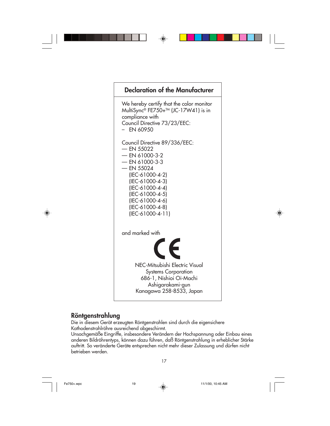

### **Röntgenstrahlung**

Die in diesem Gerät erzeugten Röntgenstrahlen sind durch die eigensichere Kathodenstrahlröhre ausreichend abgeschirmt.

Unsachgemäße Eingriffe, insbesondere Verändern der Hochspannung oder Einbau eines anderen Bildröhrentyps, können dazu führen, daß Röntgenstrahlung in erheblicher Stärke auftritt. So veränderte Geräte entsprechen nicht mehr dieser Zulassung und dürfen nicht betrieben werden.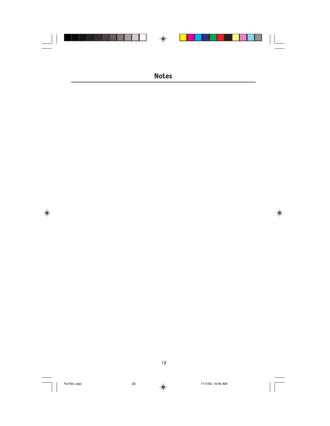

 $\Rightarrow$ 

18



 $\clubsuit$ 

 $\sqrt{2}$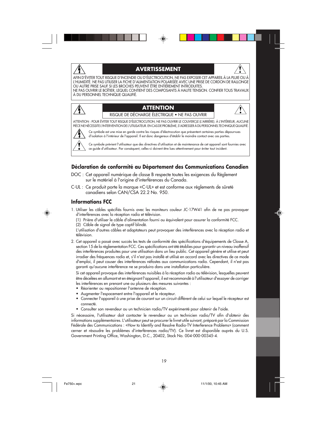#### **AVERTISSEMENT**

AFIN D'ÉVITER TOUT RISQUE D'INCENDIE OU D'ÉLECTROCUTION, NE PAS EXPOSER CET APPAREIL À LA PLUIE OU À L'HUMIDITÉ. NE PAS UTILISER LA FICHE D'ALIMENTATION POLARISÉE AVEC UNE PRISE DE CORDON DE RALLONGE OU AUTRE PRISE SAUF SI LES BROCHES PEUVENT ÊTRE ENTIÈREMENT INTRODUITES. NE PAS OUVRIR LE BOÎTIER, LEQUEL CONTIENT DES COMPOSANTS À HAUTE TENSION. CONFIER TOUS TRAVAUX À DU PERSONNEL TECHNIQUE QUALIFIÉ.

### **ATTENTION**

RISQUE DE DÉCHARGE ÉLECTRIQUE • NE PAS OUVRIR

ATTENTION : POUR ÉVITER TOUT RISQUE D'ÉLECTROCUTION, NE PAS OUVRIR LE COUVERCLE (L'ARRIÈRE). À L'INTÉRIEUR, AUCUNE PIÈCE NE NÉCESSITE L'INTERVENTION DE L'UTILISATEUR. EN CAS DE PROBLÈME, S'ADRESSER À DU PERSONNEL TECHNIQUE QUALIFIÉ.

Ce symbole est une mise en garde contre les risques d'électrocution que présentent certaines parties dépourvues d'isolation à l'intérieur de l'appareil. Il est donc dangereux d'établir le moindre contact avec ces parties

Ce symbole prévient l'utilisateur que des directives d'utilisation et de maintenance de cet appareil sont fournies avec ce guide d'utilisateur. Par conséquent, celles-ci doivent être lues attentivement pour éviter tout incident.

#### **Déclaration de conformité au Département des Communications Canadien**

- DOC : Cet appareil numérique de classe B respecte toutes les exigences du Règlement sur le matériel à l'origine d'interférences du Canada.
- C-UL : Ce produit porte la marque «C-UL» et est conforme aux règlements de sûreté canadiens selon CAN/CSA 22.2 No. 950.

#### **Informations FCC**

 $\hat{\mathbf{\Lambda}}$ 

- 1. Utiliser les câbles spécifiés fournis avec les moniteurs couleur JC-17W41 afin de ne pas provoquer d'interférences avec la réception radio et télévision.
	- (1) Prière d'utiliser le câble d'alimentation fourni ou équivalent pour assurer la conformité FCC.
	- (2) Câble de signal de type captif blindé.

L'utilisation d'autres câbles et adaptateurs peut provoquer des interférences avec la réception radio et télévision.

2. Cet appareil a passé avec succès les tests de conformité des spécifications d'équipements de Classe A, section 15 de la réglementation FCC. Ces spécifications ont été établies pour garantir un niveau inoffensif des interférences produites pour une utilisation dans un lieu public. Cet appareil génère et utilise et peut irradier des fréquences radio et, s'il n'est pas installé et utilisé en accord avec les directives de ce mode d'emploi, il peut causer des interférences néfastes aux communications radio. Cependant, il n'est pas garanti qu'aucune interférence ne se produira dans une installation particulière.

Si cet appareil provoque des interférences nuisibles à la réception radio ou télévision, lesquelles peuvent être décelées en allumant et en éteignant l'appareil, il est recommandé à l'utilisateur d'essayer de corriger les interférences en prenant une ou plusieurs des mesures suivantes :

- Réorienter ou repositionner l'antenne de réception.
- Augmenter l'espacement entre l'appareil et le récepteur.
- Connecter l'appareil à une prise de courant sur un circuit différent de celui sur lequel le récepteur est connecté.
- Consulter son revendeur ou un technicien radio/TV expérimenté pour obtenir de l'aide.

Si nécessaire, l'utilisateur doit contacter le revendeur ou un technicien radio/TV afin d'obtenir des informations supplémentaires. L'utilisateur peut se procurer le livret utile suivant, préparé par la Commission Fédérale des Communications : «How to Identify and Resolve Radio-TV Interference Problems» (comment cerner et résoudre les problèmes d'interférences radio/TV). Ce livret est disponible auprès du U.S. Government Printing Office, Washington, D.C., 20402, Stock No. 004-000-00345-4.

19

Fe750+.wpc 21  $\downarrow$  11/1/00, 10:45 AM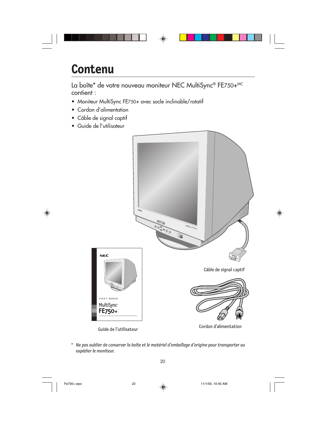

### **Contenu**

La boîte\* de votre nouveau moniteur NEC MultiSync® FE750+MC contient :

- Moniteur MultiSync FE750+ avec socle inclinable/rotatif
- Cordon d'alimentation
- Câble de signal captif
- Guide de l'utilisateur



*\* Ne pas oublier de conserver la boîte et le matériel d'emballage d'origine pour transporter ou expédier le moniteur.*

Fe750+.wpc 22  $\bigoplus$  11/1/00, 10:45 AM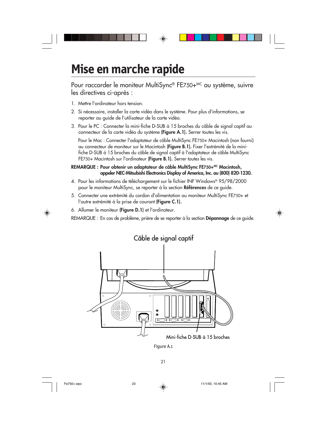

# **Mise en marche rapide**

Pour raccorder le moniteur MultiSync® FE750+<sup>MC</sup> au système, suivre les directives ci-après :

- 1. Mettre l'ordinateur hors tension.
- 2. Si nécessaire, installer la carte vidéo dans le système. Pour plus d'informations, se reporter au guide de l'utilisateur de la carte vidéo.
- 3. Pour le PC : Connecter la mini-fiche D-SUB à 15 broches du câble de signal captif au connecteur de la carte vidéo du système **(Figure A.1).** Serrer toutes les vis.

Pour le Mac : Connecter l'adaptateur de câble MultiSync FE750+ Macintosh (non fourni) au connecteur de moniteur sur le Macintosh **(Figure B.1).** Fixer l'extrémité de la minifiche D-SUB à 15 broches du câble de signal captif à l'adaptateur de câble MultiSync FE750+ Macintosh sur l'ordinateur **(Figure B.1).** Serrer toutes les vis.

#### REMARQUE : Pour obtenir un adaptateur de câble MultiSync FE750+<sup>MC</sup> Macintosh, **appeler NEC-Mitsubishi Electronics Display of America, Inc. au (800) 820-1230.**

- 4. Pour les informations de téléchargement sur le fichier INF Windows® 95/98/2000 pour le moniteur MultiSync, se reporter à la section **Références** de ce guide.
- 5. Connecter une extrémité du cordon d'alimentation au moniteur MultiSync FE750+ et l'autre extrémité à la prise de courant **(Figure C.1).**
- 6. Allumer le moniteur **(Figure D.1)** et l'ordinateur.

REMARQUE : En cas de problème, prière de se reporter à la section **Dépannage** de ce guide.



21

Fe750+.wpc 23  $\downarrow$  11/1/00, 10:45 AM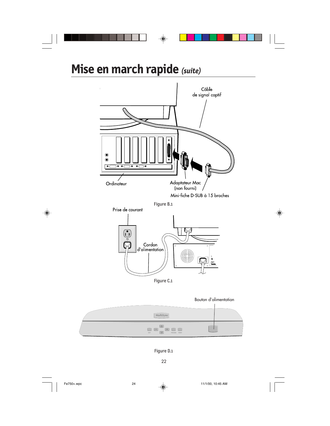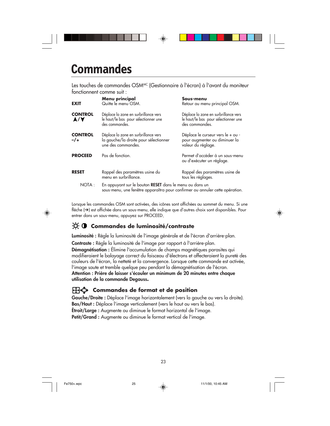### **Commandes**

Les touches de commandes OSM<sup>MC</sup> (Gestionnaire à l'écran) à l'avant du moniteur fonctionnent comme suit :

| <b>EXIT</b>            | Menu principal<br>Quitte le menu OSM.                                                                                                   | Sous-menu<br>Retour au menu principal OSM.                                                     |
|------------------------|-----------------------------------------------------------------------------------------------------------------------------------------|------------------------------------------------------------------------------------------------|
| <b>CONTROL</b><br>A/Y  | Déplace la zone en surbrillance vers<br>le haut/le bas pour sélectionner une<br>des commandes.                                          | Déplace la zone en surbrillance vers<br>le haut/le bas pour sélectionner une<br>des commandes. |
| <b>CONTROL</b><br>$-1$ | Déplace la zone en surbrillance vers<br>la gauche/la droite pour sélectionner<br>une des commandes.                                     | Déplace le curseur vers le + ou -<br>pour augmenter ou diminuer la<br>valeur du réglage.       |
| <b>PROCEED</b>         | Pas de fonction.                                                                                                                        | Permet d'accéder à un sous-menu<br>ou d'exécuter un réglage.                                   |
| <b>RESET</b>           | Rappel des paramètres usine du<br>menu en surbrillance.                                                                                 | Rappel des paramètres usine de<br>tous les réglages.                                           |
| NOTA:                  | En appuyant sur le bouton RESET dans le menu ou dans un<br>sous-menu, une fenêtre apparaîtra pour confirmer ou annuler cette opération. |                                                                                                |

Lorsque les commandes OSM sont activées, des icônes sont affichées au sommet du menu. Si une flèche (➔) est affichée dans un sous-menu, elle indique que d'autres choix sont disponibles. Pour entrer dans un sous-menu, appuyez sur PROCEED.

### $\phi$  **Commandes de luminosité/contraste**

**Luminosité :** Règle la luminosité de l'image générale et de l'écran d'arrière-plan.

**Contraste :** Règle la luminosité de l'image par rapport à l'arrière-plan.

**Démagnétisation :** Élimine l'accumulation de champs magnétiques parasites qui modifieraient le balayage correct du faisceau d'électrons et affecteraient la pureté des couleurs de l'écran, la netteté et la convergence. Lorsque cette commande est activée, l'image saute et tremble quelque peu pendant la démagnétisation de l'écran. **Attention : Prière de laisser s'écouler un minimum de 20 minutes entre chaque utilisation de la commande Degauss.**

#### **Commandes de format et de position**

Gauche/Droite : Déplace l'image horizontalement (vers la gauche ou vers la droite). **Bas/Haut :** Déplace l'image verticalement (vers le haut ou vers le bas). **Étroit/Large :** Augmente ou diminue le format horizontal de l'image. Petit/Grand : Augmente ou diminue le format vertical de l'image.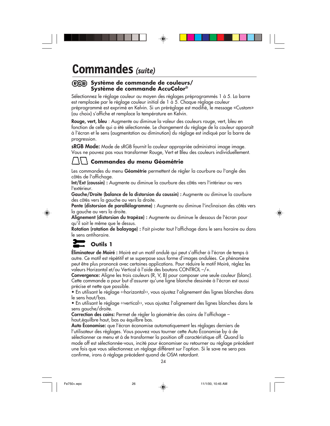### **Commandes** *(suite)*

#### **Système de commande de couleurs/ Système de commande AccuColor®**

Sélectionnez le réglage couleur au moyen des réglages préprogrammés 1 à 5. La barre est remplacée par le réglage couleur initial de 1 à 5. Chaque réglage couleur préprogrammé est exprimé en Kelvin. Si un préréglage est modifié, le message «Custom» (au choix) s'affiche et remplace la température en Kelvin.

**Rouge, vert, bleu** : Augmente ou diminue la valeur des couleurs rouge, vert, bleu en fonction de celle qui a été sélectionnée. Le changement du réglage de la couleur apparaît à l'écran et le sens (augmentation ou diminution) du réglage est indiqué par la barre de progression.

**sRGB Mode:** Mode de sRGB fournit la couleur appropriée administrai image image. Vous ne pouvez pas vous transformer Rouge, Vert et Bleu des couleurs individuellement.

#### **Commandes du menu Géométrie**

Les commandes du menu **Géométrie** permettent de régler la courbure ou l'angle des côtés de l'affichage.

**Int/Ext (coussin) :** Augmente ou diminue la courbure des côtés vers l'intérieur ou vers l'extérieur.

**Gauche/Droite (balance de la distorsion du coussin) :** Augmente ou diminue la courbure des côtés vers la gauche ou vers la droite.

**Pente (distorsion de parallélogramme) :** Augmente ou diminue l'inclinaison des côtés vers la gauche ou vers la droite.

**Alignement (distorsion du trapèze) :** Augmente ou diminue le dessous de l'écran pour qu'il soit le même que le dessus.

**Rotation (rotation de balayage) :** Fait pivoter tout l'affichage dans le sens horaire ou dans le sens antihoraire.

### **Outils 1**

**Éliminateur de Moiré :** Moiré est un motif ondulé qui peut s'afficher à l'écran de temps à autre. Ce motif est répétitif et se superpose sous forme d'images ondulées. Ce phénomène peut être plus prononcé avec certaines applications. Pour réduire le motif Moiré, réglez les valeurs Horizontal et/ou Vertical à l'aide des boutons CONTROL –/+.

**Convergence:** Aligne les trois couleurs (R, V, B) pour composer une seule couleur (blanc). Cette commande a pour but d'assurer qu'une ligne blanche dessinée à l'écran est aussi précise et nette que possible.

• En utilisant le réglage ‹‹horizontal››, vous ajustez l'alignement des lignes blanches dans le sens haut/bas.

• En utilisant le réglage ‹‹vertical››, vous ajustez l'alignement des lignes blanches dans le sens gauche/droite.

**Correction des coins:** Permet de régler la géométrie des coins de l'affichage – haut,équilbre haut, bas ou équilbre bas.

**Auto Économise:** que l'écran économise automatiquement les réglages derniers de l'utilisateur des réglages. Vous pouvez vous tourner cette Auto Économise by à de sélectionner ce menu et à de transformer la position off caractéristique off. Quand la mode off est sélectionnée-vous, incité pour économiser ou retourner au réglage précédent une fois que vous sélectionnez un réglage différent sur l'option. Si le save ne sera pas confirme, irons à réglage précédent quand de OSM retardant.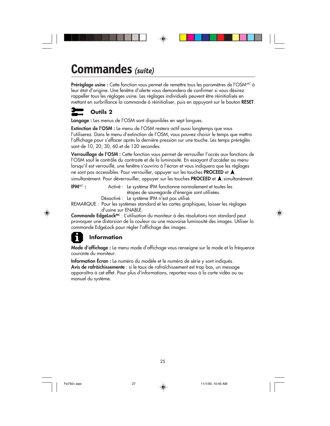# **Commandes Commandes** *(suite)*

**Préréglage usine :** Cette fonction vous permet de remettre tous les paramètres de l'OSM<sup>MC</sup> à leur état d'origine. Une fenêtre d'alerte vous demandera de confirmer si vous désirez rappeller tous les réglages usine. Les réglages individuels peuvent être réinitialisés en mettant en surbrillance la commande à réinitialiser, puis en appuyant sur le bouton **RESET**.

### **Outils 2**

**Langage :** Les menus de l'OSM sont disponibles en sept langues.

**Extinction de l'OSM :** Le menu de l'OSM restera actif aussi longtemps que vous l'utiliserez. Dans le menu d'extinction de l'OSM, vous pouvez choisir le temps que mettra l'affichage pour s'effacer après la dernière pression sur une touche. Les temps préréglés sont de 10, 20, 30, 60 et de 120 secondes.

**Verrouillage de l'OSM :** Cette fonction vous permet de verrouiller l'accès aux fonctions de l'OSM sauf le contrôle du contraste et de la luminosité. En essayant d'accéder au menu lorsqu'il est verrouillé, une fenêtre s'ouvrira à l'écran et vous indiquera que les réglages ne sont pas accessibles. Pour verrouiller, appuyer sur les touches **PROCEED** et simultanément. Pour déverrouiller, appuyer sur les touches **PROCEED** et **A** simultanément.

**IPM<sup>MC</sup>**: Activé : Le système IPM fonctionne normalement et toutes les étapes de sauvegarde d'énergie sont utilisées. Désactivé : Le système IPM n'est pas utilisé.

REMARQUE : Pour les systèmes standard et les cartes graphiques, laisser les réglages d'usine sur ENABLE.

**Commande EdgeLock<sup>MC</sup>** : L'utilisation du moniteur à des résolutions non standard peut provoquer une distorsion de la couleur ou une mauvaise luminosité des images. Utiliser la commande EdgeLock pour régler l'affichage des images.

#### **Information**  $\mathbf{I}$

**Mode d'affichage :** Le menu mode d'affichage vous renseigne sur le mode et la fréquence courante du moniteur.

**Information Écran :** Le numéro du modèle et le numéro de série y sont indiqués. **Avis de rafràichissemente** : si le taux de rafraîchissement est trop bas, un message apparaîtra à cet effet. Pour plus d'informations, reportez-vous à la carte vidéo ou au manuel du système.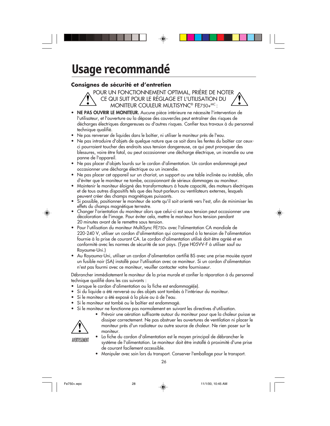# **Usage recommandé**

#### **Consignes de sécurité et d'entretien**

POUR UN FONCTIONNEMENT OPTIMAL, PRIÈRE DE NOTER CE QUI SUIT POUR LE RÉGLAGE ET L'UTILISATION DU MONITEUR COULEUR MULTISYNC® FE750+MC:

- **NE PAS OUVRIR LE MONITEUR.** Aucune pièce intérieure ne nécessite l'intervention de l'utilisateur, et l'ouverture ou la dépose des couvercles peut entraîner des risques de décharges électriques dangereuses ou d'autres risques. Confier tous travaux à du personnel technique qualifié.
- **•** Ne pas renverser de liquides dans le boîtier, ni utiliser le moniteur près de l'eau.
- **•** Ne pas introduire d'objets de quelque nature que ce soit dans les fentes du boîtier car ceuxci pourraient toucher des endroits sous tension dangereuse, ce qui peut provoquer des blessures, voire être fatal, ou peut occasionner une décharge électrique, un incendie ou une panne de l'appareil.
- **•** Ne pas placer d'objets lourds sur le cordon d'alimentation. Un cordon endommagé peut occasionner une décharge électrique ou un incendie.
- **•** Ne pas placer cet appareil sur un chariot, un support ou une table inclinée ou instable, afin d'éviter que le moniteur ne tombe, occasionnant de sérieux dommages au moniteur.
- **•** Maintenir le moniteur éloigné des transformateurs à haute capacité, des moteurs électriques et de tous autres dispositifs tels que des haut-parleurs ou ventilateurs externes, lesquels peuvent créer des champs magnétiques puissants.
- **•** Si possible, positionner le moniteur de sorte qu'il soit orienté vers l'est, afin de minimiser les effets du champs magnétique terrestre.
- **•** Changer l'orientation du moniteur alors que celui-ci est sous tension peut occasionner une décoloration de l'image. Pour éviter cela, mettre le moniteur hors tension pendant 20 minutes avant de le remettre sous tension.
- **•** Pour l'utilisation du moniteur MultiSync FE750+ avec l'alimentation CA mondiale de 220-240 V, utiliser un cordon d'alimentation qui correspond à la tension de l'alimentation fournie à la prise de courant CA. Le cordon d'alimentation utilisé doit être agréé et en conformité avec les normes de sécurité de son pays. (Type H05VV-F à utiliser sauf au Royaume-Uni.)
- **•** Au Royauma-Uni, utiliser un cordon d'alimentation certifié BS avec une prise mouiée ayant un fusible noir (SA) installé pour l'utilisation avec ce moniteur. Si un cordon d'alimentation n'est pas fourmi avec ce moniteur, veuiller contacter votre fournisseur.

Débrancher immédiatement le moniteur de la prise murale et confier la réparation à du personnel technique qualifié dans les cas suivants :

- **•** Lorsque le cordon d'alimentation ou la fiche est endommagé(e).
- **•** Si du liquide a été renversé ou des objets sont tombés à l'intérieur du moniteur.
- **•** Si le moniteur a été exposé à la pluie ou à de l'eau.
- **•** Si le moniteur est tombé ou le boîtier est endommagé.
	- **•** Si le moniteur ne fonctionne pas normalement en suivant les directives d'utilisation.



**•** Prévoir une aération suffisante autour du moniteur pour que la chaleur puisse se dissiper correctement. Ne pas obstruer les ouvertures de ventilation ni placer le moniteur près d'un radiateur ou autre source de chaleur. Ne rien poser sur le moniteur.

AVERTISSEMENT

- **•** La fiche du cordon d'alimentation est le moyen principal de débrancher le système de l'alimentation. Le moniteur doit être installé à proximité d'une prise de courant facilement accessible.
- **•** Manipuler avec soin lors du transport. Conserver l'emballage pour le transport.

26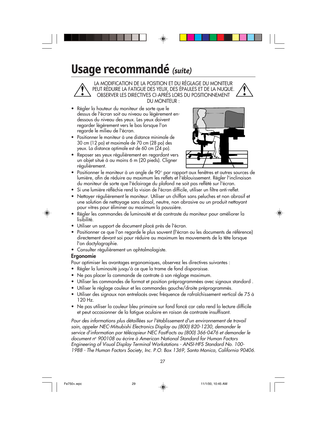# **Usage recommandé** *(suite)*

LA MODIFICATION DE LA POSITION ET DU RÉGLAGE DU MONITEUR PEUT RÉDUIRE LA FATIGUE DES YEUX, DES ÉPAULES ET DE LA NUQUE. OBSERVER LES DIRECTIVES CI-APRÈS LORS DU POSITIONNEMENT DU MONITEUR :

- **•** Régler la hauteur du moniteur de sorte que le dessus de l'écran soit au niveau ou légèrement endessous du niveau des yeux. Les yeux doivent regarder légèrement vers le bas lorsque l'on regarde le milieu de l'écran.
- **•** Positionner le moniteur à une distance minimale de 30 cm (12 po) et maximale de 70 cm (28 po) des yeux. La distance optimale est de 60 cm (24 po).
- 
- **•** Reposer ses yeux régulièrement en regardant vers un objet situé à au moins 6 m (20 pieds). Cligner régulièrement.
- **•** Positionner le moniteur à un angle de 90° par rapport aux fenêtres et autres sources de lumière, afin de réduire au maximum les reflets et l'éblouissement. Régler l'inclinaison du moniteur de sorte que l'éclairage du plafond ne soit pas reflété sur l'écran.
- **•** Si une lumière réfléchie rend la vision de l'écran difficile, utiliser un filtre anti-reflet.
- **•** Nettoyer régulièrement le moniteur. Utiliser un chiffon sans peluches et non abrasif et une solution de nettoyage sans alcool, neutre, non abrasive ou un produit nettoyant pour vitres pour éliminer au maximum la poussière.
- **•** Régler les commandes de luminosité et de contraste du moniteur pour améliorer la lisibilité.
- **•** Utiliser un support de document placé près de l'écran.
- **•** Positionner ce que l'on regarde le plus souvent (l'écran ou les documents de référence) directement devant soi pour réduire au maximum les mouvements de la tête lorsque l'on dactylographie.
- **•** Consulter régulièrement un ophtalmologiste.

#### **Ergonomie**

Pour optimiser les avantages ergonomiques, observez les directives suivantes :

- Régler la luminosité jusqu'à ce que la trame de fond disparaisse.
- Ne pas placer la commande de contrate à son réglage maximum.
- Utiliser les commandes de format et position préprogrammées avec signaux standard .
- Utiliser le réglage couleur et les commandes gauche/droite préprogrammés.
- Utiliser des signaux non entrelacés avec fréquence de rafraîchissement vertical de 75 à 120 Hz.
- Ne pas utiliser la couleur bleu primaire sur fond foncé car cela rend la lecture difficile et peut occasionner de la fatigue oculaire en raison de contraste insuffisant.

Pour des informations plus détaillées sur l'établissement d'un environnement de travail sain, appeler NEC-Mitsubishi Electronics Display au (800) 820-1230, demander le service d'information par télécopieur NEC FastFacts au (800) 366-0476 et demander le document nº 900108 ou écrire à American National Standard for Human Factors Engineering of Visual Display Terminal Workstations - ANSI-HFS Standard No. 100- 1988 - The Human Factors Society, Inc. P.O. Box 1369, Santa Monica, California 90406.

Fe750+.wpc 29  $\downarrow$  11/1/00, 10:45 AM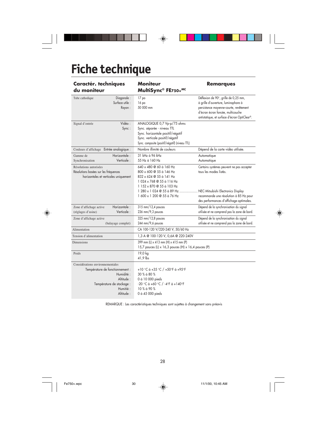# **Fiche technique**

| <b>Caractér. techniques</b><br>du moniteur                                                                                                           | Moniteur<br><b>Remarques</b><br>MultiSync® FE750+MC                                                                                                                                 |                                                                                                                                                                                                            |
|------------------------------------------------------------------------------------------------------------------------------------------------------|-------------------------------------------------------------------------------------------------------------------------------------------------------------------------------------|------------------------------------------------------------------------------------------------------------------------------------------------------------------------------------------------------------|
| Diagonale:<br>Tube cathodique<br>Surface utile :<br>Rayon:                                                                                           | 17 po<br>16 po<br>50 000 mm                                                                                                                                                         | Déflexion de 90°, grille de 0,25 mm,<br>à grille d'ouverture, luminophore à<br>persistance moyenne-courte, revêtement<br>d'écran écran foncée, multicouche<br>antistatique, et surface d'écran OptiClear®. |
| Vidéo:<br>Signal d'entrée<br>Sync:                                                                                                                   | ANALOGIQUE 0,7 Vp-p/75 ohms<br>Sync. séparée - niveau TTL<br>Sync. horizontale positif/négatif<br>Sync. verticale positif/négatif<br>Sync. composite (positif/négatif) (niveau TTL) |                                                                                                                                                                                                            |
| Couleurs d'affichage Entrée analogique :                                                                                                             | Nombre illimité de couleurs                                                                                                                                                         | Dépend de la carte vidéo utilisée.                                                                                                                                                                         |
| Horizontale:<br>Gamme de<br>Verticale:<br>Synchronisation                                                                                            | 31 kHz à 96 kHz<br>55 Hz à 160 Hz                                                                                                                                                   | Automatique<br>Automatique                                                                                                                                                                                 |
| Résolutions autorisées<br>Résolutions basées sur les fréquences<br>horizontales et verticales uniquement                                             | 640 x 480 @ 60 à 160 Hz<br>800 x 600 @ 55 à 146 Hz<br>832 x 624 @ 55 à 141 Hz<br>1024 x 768 @ 55 à 116 Hz<br>1 152 x 870 @ 55 à 103 Hz                                              | Certains systèmes peuvent ne pas accepter<br>tous les modes listés.                                                                                                                                        |
|                                                                                                                                                      | 1 280 x 1 024 @ 55 à 89 Hz  NEC-Mitsubishi Electronics Display<br>1 600 x 1 200 @ 55 à 76 Hz                                                                                        | recommande une résolution à 85 Hz pour<br>des performances d'affichage optimales.                                                                                                                          |
| Horizontale:<br>Zone d'affichage active<br>Verticale:<br>(réglages d'usine)                                                                          | 315 mm/12,4 pouces<br>$236$ mm/9,3 pouces                                                                                                                                           | Dépend de la synchronisation du signal<br>utilisée et ne comprend pas la zone de bord.                                                                                                                     |
| Zone d'affichage active<br>(balayage complet)                                                                                                        | 325 mm/12,8 pouces<br>244 mm/9,6 pouces                                                                                                                                             | Dépend de la synchronisation du signal<br>utilisée et ne comprend pas la zone de bord.                                                                                                                     |
| Alimentation                                                                                                                                         | CA 100-120 V/220-240 V, 50/60 Hz                                                                                                                                                    |                                                                                                                                                                                                            |
| Tension d'alimentation                                                                                                                               | 1,3 A @ 100-120 V, 0,6A @ 220-240V                                                                                                                                                  |                                                                                                                                                                                                            |
| <b>Dimensions</b>                                                                                                                                    | 399 mm (L) x 413 mm (H) x 415 mm (P)<br>15,7 pouces (L) x 16,3 pouces (H) x 16,4 pouces (P)                                                                                         |                                                                                                                                                                                                            |
| Poids                                                                                                                                                | 19,0 kg<br>41,9 lbs                                                                                                                                                                 |                                                                                                                                                                                                            |
| Considérations environnementales<br>Température de fonctionnement :<br>Humidité:<br>Altitude:<br>Température de stockage :<br>Humitié:<br>Altitude : | +10 °C à +35 °C / +50°F à +95°F<br>$30\%$ à $80\%$<br>0 à 10 000 pieds<br>-20 °C à +60 °C / -4°F à +140°F<br>10 % à 90 %<br>0 à 45 000 pieds                                        |                                                                                                                                                                                                            |

 $\bigoplus$ 

REMARQUE : Les caractéristiques techniques sont sujettes à changement sans préavis

28

 $\bigoplus$ 

◈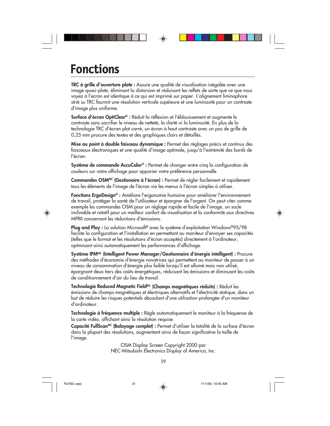# **Fonctions**

**TRC à grille d'ouverture plate :** Assure une qualité de visualisation inégalée avec une image quasi-plate, éliminant la distorsion et réduisant les reflets de sorte que ce que vous voyez à l'ecran est identique à ce qui est imprimé sur paper. L'alignement liminophore strié su TRC fourmit une résolution verticale supéieure et une luminosité pour un contraste d'image plus uniforme.

**Surface d'écran OptiClear® :** Réduit la réflexion et l'éblouissement et augmente le contraste sans sacrifier le niveau de netteté, la clarté ni la luminosité. En plus de la technologie TRC d'écran plat carré, un écran à haut contraste avec un pas de grille de 0,25 mm procure des textes et des graphiques clairs et détaillés.

**Mise au point à double faisceau dynamique :** Permet des réglages précis et continus des faisceaux électroniques et une qualité d'image optimale, jusqu'à l'extrémité des bords de l'écran.

**Système de commande AccuColor® :** Permet de changer entre cinq la configuration de couleurs sur votre affichage pour apparier votre préférence personnelle.

Commandes OSM<sup>MC</sup> (Gestionaire à l'écran) : Permet de régler facilement et rapidement tous les éléments de l'image de l'écran via les menus à l'écran simples à utiliser.

**Fonctions ErgoDesign® :** Améliore l'ergonomie humaine pour améliorer l'environnement de travail, protéger la santé de l'utilisateur et épargner de l'argent. On peut citer comme exemple les commandes OSM pour un réglage rapide et facile de l'image, un socle inclinable et rotatif pour un meilleur confort de visualisation et la conformité aux directives MPRII concernant les réductions d'émissions.

**Plug and Play :** La solution Microsoft**®** avec le système d'exploitation Windows**®**95/98 facilite la configuration et l'installation en permettant au moniteur d'envoyer ses capacités (telles que le format et les résolutions d'écran acceptés) directement à l'ordinateur, optimisant ainsi automatiquement les performances d'affichage.

**Système IPMMC (Intelligent Power Manager/Gestionnaire d'énergie intelligent) :** Procure des méthodes d'économie d'énergie novatrices qui permettent au moniteur de passer à un niveau de consommation d'énergie plus faible lorsqu'il est allumé mais non utilisé, épargnant deux tiers des coûts énergétiques, réduisant les émissions et diminuant les coûts de conditionnement d'air du lieu de travail.

Technologie Reduced Magnetic Field<sup>MC</sup> (Champs magnétiques réduits) : Réduit les émissions de champs magnétiques et électriques alternatifs et l'électricité statique, dans un but de réduire les risques potentiels découlant d'une utilisation prolongée d'un moniteur d'ordinateur.

**Technologie à fréquence multiple :** Règle automatiquement le moniteur à la fréquence de la carte vidéo, affichant ainsi la résolution requise.

**Capacité FullScanMC (Balayage complet) :** Permet d'utiliser la totalité de la surface d'écran dans la plupart des résolutions, augmentant ainsi de façon significative la taille de l'image.

> OSM Display Screen Copyright 2000 par NEC-Mitsubishi Electronics Display of America, Inc.

> > 29

Fe750+.wpc 31 31  $\downarrow$  11/1/00, 10:45 AM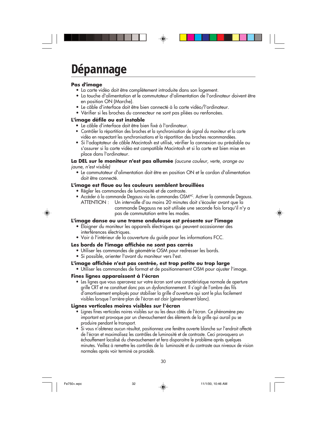# **Dépannage**

#### **Pas d'image**

- La carte vidéo doit être complètement introduite dans son logement.
- La touche d'alimentation et le commutateur d'alimentation de l'ordinateur doivent être en position ON (Marche).
- Le câble d'interface doit être bien connecté à la carte vidéo/l'ordinateur.
- Vérifier si les broches du connecteur ne sont pas pliées ou renfoncées.

#### **L'image défile ou est instable**

- Le câble d'interface doit être bien fixé à l'ordinateur.
- Contrôler la répartition des broches et la synchronisation de signal du moniteur et la carte vidéo en respectant les synchronisations et la répartition des broches recommandées.
- Si l'adaptateur de câble Macintosh est utilisé, vérifier la connexion au préalable ou s'assurer si la carte vidéo est compatible Macintosh et si la carte est bien mise en place dans l'ordinateur.

**La DEL sur le moniteur n'est pas allumée** (aucune couleur, verte, orange ou jaune, n'est visible)

• Le commutateur d'alimentation doit être en position ON et le cordon d'alimentation doit être connecté.

#### **L'image est floue ou les couleurs semblent brouillées**

- Régler les commandes de luminosité et de contraste.
- Accéder à la commande Degauss via les commandes OSMMC. Activer la commande Degauss. ATTENTION : Un intervalle d'au moins 20 minutes doit s'écouler avant que la
	- commande Degauss ne soit utilisée une seconde fois lorsqu'il n'y a pas de commutation entre les modes.

#### **L'image danse ou une trame onduleuse est présente sur l'image**

- Éloigner du moniteur les appareils électriques qui peuvent occasionner des interférences électriques.
- Voir à l'intérieur de la couverture du guide pour les informations FCC.

#### **Les bords de l'image affichée ne sont pas carrés**

- Utiliser les commandes de géométrie OSM pour redresser les bords.
- Si possible, orienter l'avant du moniteur vers l'est.

#### **L'image affichée n'est pas centrée, est trop petite ou trop large**

• Utiliser les commandes de format et de positionnement OSM pour ajuster l'image.

#### **Fines lignes apparaissent à l'écran**

• Les lignes que vous apercevez sur votre écran sont une caractéristique normale de aperture grille CRT et ne constituet donc pas un dysfonctionnement. Il s'agit de l'ombre des fils d'amortissement employés pour stabiliser la grille d'ouverture qui sont le plus facilement visibles lorsque l'arrière-plan de l'écran est clair (géneralement blanc).

#### **Lignes verticales moires visibles sur l'écran**

- Lignes fines verticales noires visibles sur au les deux côtés de l'écran. Ce phénomène peu important est provoque par un chevauchement des éléments de la grille qui aurail pu se produire pendant le transport.
- Si vous n'obtenez aucun résultat, pasitionnez une fenêtre ouverte blanche sur l'endroit affecté de l'écran et maximalisez les contrâles de luminosité et de contraste. Ceci provoquera un échauffement localisé du chevauchement et fera disparaitre le problème après quelques minutes. Veillez à remettre les contrôles de la luminosité et du contraste aux niveaux de vision normales après voir terminé ce procédé.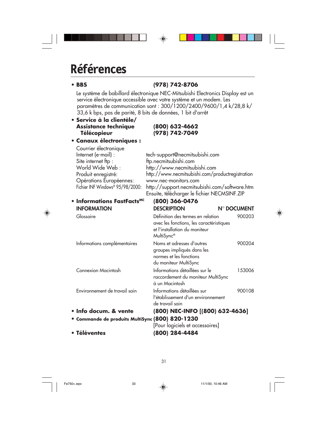# **Références**

⊕

### **• BBS (978) 742-8706**

Le système de babillard électronique NEC-Mitsubishi Electronics Display est un service électronique accessible avec votre système et un modem. Les paramètres de communication sont : 300/1200/2400/9600/1,4 k/28,8 k/ 33,6 k bps, pas de parité, 8 bits de données, 1 bit d'arrêt

◈

#### **• Service à la clientèle/ Assistance technique (800) 632-4662 Télécopieur (978) 742-7049**

**• Canaux électroniques :**

| Courrier électronique            |                                                  |
|----------------------------------|--------------------------------------------------|
| Internet (e-mail) :              | tech-support@necmitsubishi.com                   |
| Site internet ftp:               | ftp.necmitsubishi.com                            |
| World Wide Web:                  | http://www.necmitsubishi.com                     |
| Produit enregistré:              | http://www.necmitsubishi.com/productregistration |
| Opérations Européennes:          | www.nec-monitors.com                             |
| Fichier INF Windows® 95/98/2000: | http://support.necmitsubishi.com/software.htm    |
|                                  | Ensuite, télécharger le fichier NECMSINF.ZIP     |

| • Informations FastFacts <sup>MC</sup>          | (800) 366-0476                                                                                                                           |             |
|-------------------------------------------------|------------------------------------------------------------------------------------------------------------------------------------------|-------------|
| <b>INFORMATION</b>                              | <b>DESCRIPTION</b>                                                                                                                       | N° DOCUMENT |
| Glossaire                                       | Définition des termes en relation<br>avec les fonctions, les caractéristiques<br>et l'installation du moniteur<br>MultiSync <sup>®</sup> | 900203      |
| Informations complémentaires                    | Noms et adresses d'autres<br>groupes impliqués dans les<br>normes et les fonctions<br>du moniteur MultiSync                              | 900204      |
| <b>Connexion Macintosh</b>                      | Informations détaillées sur le<br>raccordement du moniteur MultiSync<br>à un Macintosh                                                   | 153006      |
| Environnement de travail sain                   | Informations détaillées sur<br>l'établissement d'un environnement<br>de travail sain                                                     | 900108      |
| · Info docum. & vente                           | (800) NEC-INFO [(800) 632-4636]                                                                                                          |             |
| · Commande de produits MultiSync (800) 820-1230 |                                                                                                                                          |             |
|                                                 | [Pour logiciels et accessoires]                                                                                                          |             |
| • Téléventes                                    | (800) 284-4484                                                                                                                           |             |



31

Fe750+.wpc 33 3 11/1/00, 10:46 AM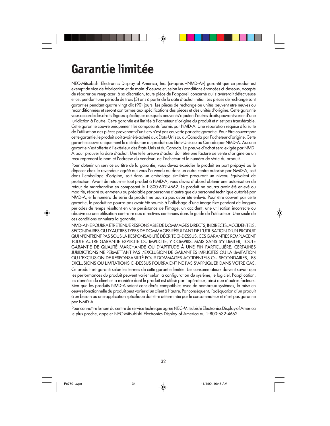# **Garantie limitée**

NEC-Mitsubishi Electronics Display of America, Inc. (ci-après «NMD-A») garantit que ce produit est exempt de vice de fabrication et de main-d'oeuvre et, selon les conditions énoncées ci-dessous, accepte de réparer ou remplacer, à sa discrétion, toute pièce de l'appareil concerné qui s'avérerait défectueuse et ce, pendant une période de trois (3) ans à partir de la date d'achat initial. Les pièces de rechange sont garanties pendant quatre-vingt dix (90) jours. Les pièces de rechange ou unités peuvent être neuves ou reconditionnées et seront conformes aux spécifications des pièces et des unités d'origine. Cette garantie vous accorde des droits légaux spécifiques auxquels peuvent s'ajouter d'autres droits pouvant varier d'une juridiction à l'autre. Cette garantie est limitée à l'acheteur d'origine du produit et n'est pas transférable. Cette garantie couvre uniquement les composants fournis par NMD-A. Une réparation requise à la suite de l'utilisation des pièces provenant d'un tiers n'est pas couverte par cette garantie. Pour être couvert par cette garantie, le produit doit avoir été acheté aux États-Unis ou au Canada par l'acheteur d'origine. Cette garantie couvre uniquement la distribution du produit aux États-Unis ou au Canada par NMD-A. Aucune garantie n'est offerte à l'extérieur des États-Unis et du Canada. La preuve d'achat sera exigée par NMD-A pour prouver la date d'achat. Une telle preuve d'achat doit être une facture de vente d'origine ou un reçu reprenant le nom et l'adresse du vendeur, de l'acheteur et le numéro de série du produit.

Pour obtenir un service au titre de la garantie, vous devez expédier le produit en port prépayé ou le déposer chez le revendeur agréé qui vous l'a vendu ou dans un autre centre autorisé par NMD-A, soit dans l'emballage d'origine, soit dans un emballage similaire procurant un niveau équivalent de protection. Avant de retourner tout produit à NMD-A, vous devez d'abord obtenir une autorisation de retour de marchandise en composant le 1-800-632-4662. Le produit ne pourra avoir été enlevé ou modifié, réparé ou entretenu au préalable par personne d'autre que du personnel technique autorisé par NMD-A, et le numéro de série du produit ne pourra pas avoir été enlevé. Pour être couvert par cette garantie, le produit ne pourra pas avoir été soumis à l'affichage d'une image fixe pendant de longues périodes de temps résultant en une persistance de l'image, un accident, une utilisation incorrecte ou abusive ou une utilisation contraire aux directives contenues dans le guide de l'utilisateur. Une seule de ces conditions annulera la garantie.

NMD-A NE POURRA ÊTRE TENUE RESPONSABLE DE DOMMAGES DIRECTS, INDIRECTS, ACCIDENTELS, SECONDAIRES OU D'AUTRES TYPES DE DOMMAGES RÉSULTANT DE L'UTILISATION D'UN PRODUIT QUI N'ENTRENT PAS SOUS LA RESPONSABILITÉ DÉCRITE CI-DESSUS. CES GARANTIES REMPLACENT TOUTE AUTRE GARANTIE EXPLICITE OU IMPLICITE, Y COMPRIS, MAIS SANS S'Y LIMITER, TOUTE GARANTIE DE QUALITÉ MARCHANDE OU D'APTITUDE À UNE FIN PARTICULIÈRE. CERTAINES JURIDICTIONS NE PERMETTANT PAS L'EXCLUSION DE GARANTIES IMPLICITES OU LA LIMITATION OU L'EXCLUSION DE RESPONSABILITÉ POUR DOMMAGES ACCIDENTELS OU SECONDAIRES, LES EXCLUSIONS OU LIMITATIONS CI-DESSUS POURRAIENT NE PAS S'APPLIQUER DANS VOTRE CAS.

Ce produit est garanti selon les termes de cette garantie limitée. Les consommateurs doivent savoir que les performances du produit peuvent varier selon la configuration du système, le logiciel, l'application, les données du client et la manière dont le produit est utilisé par l'opérateur, ainsi que d'autres facteurs. Bien que les produits NMD-A soient considérés compatibles avec de nombreux systèmes, la mise en oeuvre fonctionnelle du produit peut varier d'un client à l 'autre. Par conséquent, l'adéquation d'un produit à un besoin ou une application spécifique doit être déterminée par le consommateur et n'est pas garantie par NMD-A.

Pour connaître le nom du centre de service technique agréé NEC-Mitsubishi Electronics Display of America le plus proche, appeler NEC-Mitsubishi Electronics Display of America au 1-800-632-4662.

32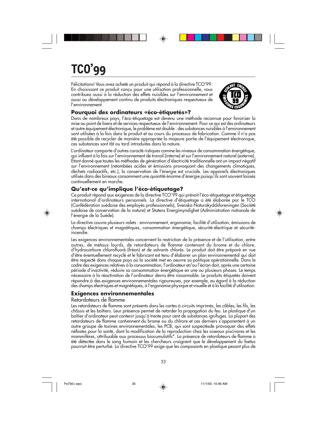# **TCO'99**

Félicitations! Vous avez acheté un produit qui répond à la directive TCO'99. En choisissant ce produit conçu pour une utilisation professionnelle, vous contribuez aussi à la réduction des effets nuisibles sur l'environnement et aussi au développement continu de produits électroniques respectueux de l'environnement.



#### **Pourquoi des ordinateurs «éco-étiquetés»?**

Dans de nombreux pays, l'éco-étiquetage est devenu une méthode reconnue pour favoriser la mise au point de biens et de services respectueux de l'environnement. Pour ce qui est des ordinateurs et autre équipement électronique, le problème est double : des substances nuisibles à l'environnement sont utilisées à la fois dans le produit et au cours du processus de fabrication. Comme il n'a pas été possible de recycler de manière appropriée la majeure partie de l'équipement électronique, ces substances sont tôt ou tard introduites dans la nature.

L'ordinateur comporte d'autres caracté ristiques comme les niveaux de consommation énergétique, qui influent à la fois sur l'environnement de travail (interne) et sur l'environnement naturel (externe). Étant donné que toutes les méthodes de génération d'électricité traditionnelle ont un impact négatif sur l'environnement (retombées acides et émissions provoquant des changements climatiques, déchets radioactifs, etc.), la conservation de l'énergie est cruciale. Les appareils électroniques utilisés dans des bireaux consomment une quantité énorme d'énergie puisqu'ils sont souvent laissés continuellement en marche.

#### **Qu'est-ce qu'implique l'éco-étiquetage?**

Ce produit répond aux exigences de la directive TCO'99 qui prévoit l'éco-étiquetage et étiquetage international d'ordinateurs personnels. La directive d'étiquetage a été élaborée par le TCO (Confédération suédoise des employés professionnels), Svenska Naturakyddsforeningen (Société suédoise de conservation de la nature) et Statens Energimyndighet (Administration nationale de l'énergie de la Suéde).

La directive couvre plusieurs volets : environnement, ergonomie, facilité d'utilisation, émissions de champs électriques et magnétiques, consommation énergétique, sécurité-électrique et sécuritéincendie.

Les exigences environnementales concernent la restriction de la présence et de l'utilisation, entre autres, de métaux lourds, de retardateurs de flamme contenant du brome et du chlore, d'hydrocarbure chlorofluoré (fréon) et de solvants chlorés. Le produit doit être préparé en vue d'être éventuellement recyclé et le fabricant est tenu d'élaborer un plan environnemental qui doit être respecté dans chaque pays où la société met en oeuvre sa politique opérationnelle. Dans le cadre des exigences relatives à la consommation, l'ordinateur et/ou l'écran doit, après une certaine période d'inactivité, réduire sa consommation énergétique en une ou plusieurs phases. Le temps nécessaire à la réactivation de l'ordinateur devra être raisonnable. Le produits étiquetés doivent répondre à des exigences environnementales rigoureuses, par exemple, eu égard à la réduction des champs électriques et magnétiques, à l'ergonomie physique et visuelle et à la facilité d'utilisation.

#### **Exigences environnementales**

#### Retardateurs de flamme

Les retardateurs de flamme sont présents dans les cartes à circuits imprimés, les câbles, les fils, les châssis et les boîtiers. Leur présence permet de retarder la propagation du feu. Le plastique d'un boîtier d'ordinateur peut contenir jusqu'à trente pour cent de substances ignifuges. La plupart des retardateurs de flamme contiennent du brome ou du chlrore et ces derniers s'apparentent à un autre groupe de toxines environnementales, les PCB, qui sont suspectésde provoquer des effets néfastes pour la santé, dont la modification de la reproduction chez les oiseaux piscivores et les mammifères, attribuable aux processus biocumulatifs\*. La présence de retardateurs de flamme a été détectée dans le sang humain et les chercheurs craignent que le développement du foetus pourrait être perturbé. La directive TCO'99 exige que les composants en plastique pesant plus de

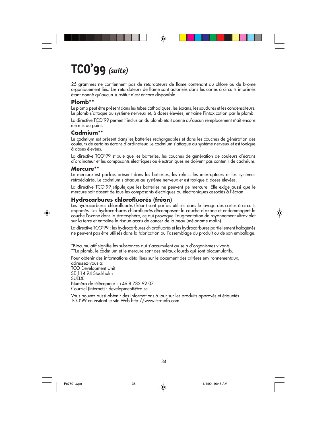# **TCO'99** *(suite)*

25 grammes ne contiennent pas de retardateurs de flame contenant du chlore ou du brome organiquement liés. Les retardateurs de flame sont autorisés dans les cartes à circuits imprimés étant donné qu'aucun substitut n'est encore disponible.

#### **Plomb\*\***

Le plomb peut être présent dans les tubes cathodiques, les écrans, les soudures et les condensateurs. Le plomb s'attaque au système nerveux et, à doses élevées, entraîne l'intoxication par le plomb.

La directive TCO'99 permet l'inclusion du plomb était donné qu'aucun remplacement n'ait encore été mis au point.

#### **Cadmium\*\***

Le cadmium est présent dans les batteries rechargeables et dans les couches de génération des couleurs de certains écrans d'ordinateur. Le cadmium s'attaque au système nerveux et est toxique à doses élevées.

La directive TCO'99 stipule que les batteries, les couches de génération de couleurs d'écrans d'ordinateur et les composants électriques ou électroniques ne doivent pas contenir de cadmium.

#### **Mercure\*\***

Le mercure est parfois présent dans les batteries, les relais, les interrupteurs et les systèmes rétroéclairés. Le cadmium s'attaque au système nerveux et est toxique à doses élevées.

La directive TCO'99 stipule que les batteries ne peuvent de mercure. Elle exige aussi que le mercure soit absent de tous les composants électriques ou électroniques associés à l'écran.

#### **Hydrocarbures chlorofluorés (fréon)**

Les hydrocarbures chlorofluorés (fréon) sont parfois utilisés dans le lavage des cartes à circuits imprimés. Les hydrocarbures chlorofluorés décomposent la couche d'ozone et endommagent la couche l'ozone dans la stratosphère, ce qui provoque l'augmentation de rayonnement ultraviolet sur la terre et entraîne le risque accru de cancer de la peau (mélanome malin).

La directive TCO'99 : les hydrocarbures chlorofluorés et les hydrocarbures partiellement halogénés ne peuvent pas être utilisés dans la fabrication ou l'assemblage du produit ou de son emballage.

\*Biocumulatif signifie les substances qui s'accumulent au sein d'organismes vivants. \*\*Le plomb, le cadmium et le mercure sont des métaux lourds qui sont biocumulatifs.

Pour obtenir des informations détaillées sur le document des critères environnementaux, adressez-vous á: TCO Development Unit SE 114 94 Stockholm SUÈDE Numéro de télécopieur : +46 8 782 92 07 Courriel (Internet) : development@tco.se

Vous pouvez aussi obtenir des informations à jour sur les produits approvés et étiquetés TCO'99 en visitant le site Web http://www.tco-info.com

34

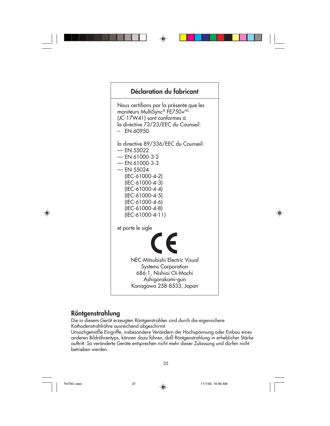

### **Röntgenstrahlung**

Die in diesem Gerät erzeugten Röntgenstrahlen sind durch die eigensichere Kathodenstrahlröhre ausreichend abgeschirmt.

Unsachgemäße Eingriffe, insbesondere Verändern der Hochspannung oder Einbau eines anderen Bildröhrentyps, können dazu führen, daß Röntgenstrahlung in erheblicher Stärke auftritt. So veränderte Geräte entsprechen nicht mehr dieser Zulassung und dürfen nicht betrieben werden.

35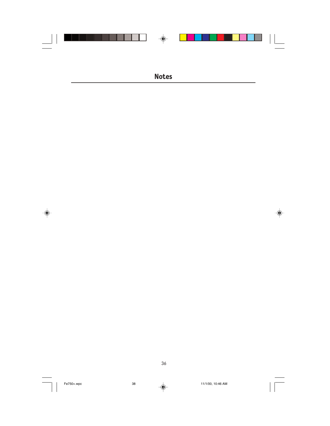

 $\Rightarrow$ 

36

Fe750+.wpc 38 11/1/00, 10:46 AM

 $\clubsuit$ 

 $\frac{1}{\sqrt{1-\frac{1}{2}}}$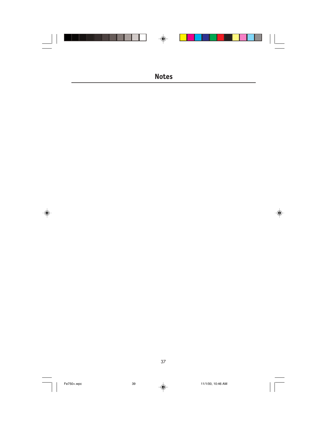

 $\Rightarrow$ 

$$
\mathcal{L}^{\mathcal{L}}(\mathcal{L})
$$

37

Fe750+.wpc 39 11/1/00, 10:46 AM

 $\Rightarrow$ 

 $\sqrt{2}$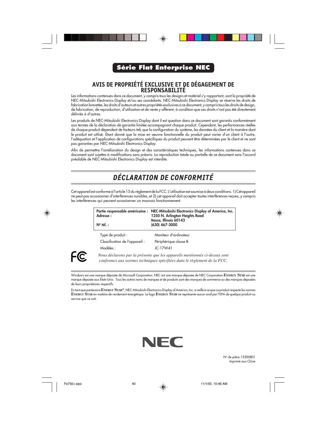

#### **Série Flat Enterprise NEC**

### **AVIS DE PROPRIÉTÉ EXCLUSIVE ET DE DÉGAGEMENT DE RESPONSABILITÉ**

Les informations contenues dans ce document, y compris tous les designs et matériel s'y rapportant, sont la propriété de NEC-Mitsubishi Electronics Display et/ou ses concédants. NEC-Mitsubishi Electronics Display se réserve les droits de fabrication brevetée, les droits d'auteurs et autres propriétés exclusives à ce document, y compris tous les droits de design, de fabrication, de reproduction, d'utilisation et de vente y afférent, à condition que ces droits n'ont pas été directement délivrés à d'autres.

Les produits de NEC-Mitsubishi Electronics Display dont il est question dans ce document sont garantis conformément aux termes de la déclaration de garantie limitée accompagnant chaque produit. Cependant, les performances réelles de chaque produit dépendent de facteurs tels que la configuration du système, les données du client et la manière dont le produit est utilisé. Étant donné que la mise en oeuvre fonctionnelle du produit peut varier d'un client à l'autre, l'adéquation et l'application de configurations spécifiques du produit peuvent être déterminées par le client et ne sont pas garanties par NEC-Mitsubishi Electronics Display.

Afin de permettre l'amélioration du design et des caractéristiques techniques, les informations contenues dans ce document sont sujettes à modifications sans préavis. La reproduction totale ou partielle de ce document sans l'accord préalable de NEC-Mitsubishi Electronics Display est interdite.

### *DÉCLARATION DE CONFORMITÉ*

Cet appareil est conforme à l'article 15 du règlement de la FCC. L'utilisation est soumise à deux conditions. 1) Cet appareil ne peut pas occasionner d'interférences nuisibles, et 2) cet appareil doit accepter toutes interférences reçues, y compris les interférences qui peuvent occasionner un mauvais fonctionnement.

| Partie responsable américaine :<br>Adresse:<br>$N^{\circ}$ tél.: | NEC-Mitsubishi Electronics Display of America, Inc.<br>1250 N. Arlington Heights Road<br>Itasca, Illinois 60143<br>(630) 467-3000 |  |
|------------------------------------------------------------------|-----------------------------------------------------------------------------------------------------------------------------------|--|
| Type de produit :                                                | Moniteur d'ordinateur                                                                                                             |  |
| Classification de l'appareil:                                    | Périphérique classe B                                                                                                             |  |
| Modèles ·                                                        | JC-17W41                                                                                                                          |  |



◈

*Nous déclarons par la présente que les appareils mentionnés ci-dessus sont conformes aux normes techniques spécifiées dans le règlement de la FCC.*

Windows est une marque déposée de Microsoft Corporation. NEC est une marque déposée de NEC Corporation.**ENERGY STAR** est une marque déposée aux États-Unis. Tous les autres noms de marques et de produits sont des marques de commerce ou des marques déposées de leurs propriétaires respectifs.

En tant que partenaire **ENERGY STAR®**, NEC-Mitsubishi Electronics Display of America, Inc. a veillé à ce que ce produit respecte les normes **ENERGY STAR** en matière de rendement énergétique. Le logo **ENERGY STAR** ne représente aucun aval par l'EPA de quelque produit ou service que ce soit.



No de pièce 15500801 Imprimé aux Chine



Fe750+.wpc  $\downarrow$  40  $\downarrow$  11/1/00, 10:46 AM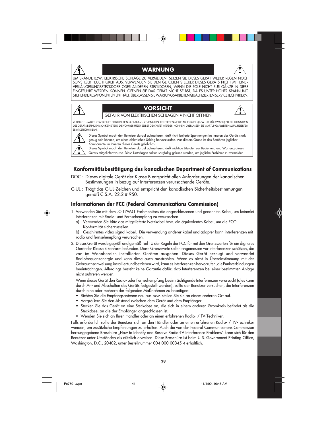#### **WARNUNG**



UM BRÄNDE BZW. ELEKTRISCHE SCHLÄGE ZU VERMEIDEN, SETZEN SIE DIESES GERÄT WEDER REGEN NOCH SONSTIGER FEUCHTIGKEIT AUS. VERWENDEN SIE DEN GEPOLTEN STECKER DIESES GERÄTS NICHT MIT EINER VERLÄNGERUNGSSTECKDOSE ODER ANDEREN STECKDOSEN, WENN DIE POLE NICHT ZUR GÄNZE IN DIESE EINGEFÜHRT WERDEN KÖNNEN. ÖFFNEN SIE DAS GERÄT NICHT SELBST, DA ES UNTER HOHER SPANNUNG STEHENDE KOMPONENTEN ENTHÄLT. ÜBERLASSEN SIE WARTUNGSARBEITEN QUALIFIZIERTEN SERVICETECHNIKERN.

> **VORSICHT** GEFAHR VON ELEKTRISCHEN SCHLÄGEN • NICHT ÖFFNEN

VORSICHT: UM DIE GEFAHR EINES ELEKTRISCHEN SCHLAGS ZU VERRINGERN, ENTFERNEN SIE DIE ABDECKUNG (BZW. DIE RÜCKWAND) NICHT. IM INNEREN DES GERÄTS BEFINDEN SICH KEINE TEILE, DIE VOM BENUTZER SELBST GEWARTET WERDEN KÖNNEN. ÜBERLASSEN SIE WARTUNGSARBEITEN QUALIFIZIERTEN SERVICETECHNIKERN.

Dieses Symbol macht den Benutzer darauf aufmerksam, daß nicht isolierte Spannungen im Inneren des Geräts stark genug sein können, um einen elektrischen Schlag hervorzurufen. Aus diesem Grund ist das Berühren jeglicher Komponente im Inneren dieses Geräts gefährlich.

Dieses Symbol macht den Benutzer darauf aufmerksam, daß wichtige Literatur zur Bedienung und Wartung dieses Geräts mitgeliefert wurde. Diese Unterlagen sollten sorgfältig gelesen werden, um jegliche Probleme zu vermeiden.

#### **Konformitätsbestätigung des kanadischen Department of Communications**

- DOC : Dieses digitale Gerät der Klasse B entspricht allen Anforderungen der kanadischen Bestimmungen in bezug auf Interferenzen verursachende Geräte.
- C-UL : Trägt das C-UL-Zeichen und entspricht den kanadischen Sicherheitsbestimmungen gemäß C.S.A. 22.2 # 950.

#### **Informationen der FCC (Federal Communications Commission)**

- 1. Verwenden Sie mit dem JC-17W41 Farbmonitors die angeschlossenen und genannten Kabel, um keinerlei Interferenzen mit Radio- und Fernsehempfang zu verursachen.
	- a) Verwenden Sie bitte das mitgelieferte Netzkabel bzw. ein äquivalentes Kabel, um die FCC-Konformität sicherzustellen.
	- b) Geschirmtes video signal kabel. Die verwendung anderer kabel und adapter kann interferenzen mit radio und fernsehempfang verursachen.
- 2. Dieses Gerät wurde geprüft und gemäß Teil 15 der Regeln der FCC für mit den Grenzwerten für ein digitales Gerät der Klasse B konform befunden. Diese Grenzwerte sollen angemessen vor Interferenzen schützen, die von im Wohnbereich installierten Geräten ausgehen. Dieses Gerät erzeugt und verwendet Radiofrequenzenergie und kann diese auch ausstrahlen. Wenn es nicht in Übereinstimmung mit der Gebrauchsanweisung installiert und betrieben wird, kann es Interferenzen hervorrufen, die Funkverbindungen beeinträchtigen. Allerdings besteht keine Garantie dafür, daß Interferenzen bei einer bestimmten Anlage nicht auftreten werden.

Wenn dieses Gerät den Radio- oder Fernsehempfang beeinträchtigende Interferenzen verursacht (dies kann durch An- und Abschalten des Geräts festgestellt werden), sollte der Benutzer versuchen, die Interferenzen durch eine oder mehrere der folgenden Maßnahmen zu beseitigen:

- Richten Sie die Empfangsantenne neu aus bzw. stellen Sie sie an einem anderen Ort auf.
- Vergrößern Sie den Abstand zwischen dem Gerät und dem Empfänger.
- Stecken Sie das Gerät an eine Steckdose an, die sich in einem anderen Stromkreis befindet als die Steckdose, an die der Empfänger angeschlossen ist.
- Wenden Sie sich an Ihren Händler oder an einen erfahrenen Radio- / TV-Techniker.

Falls erforderlich sollte der Benutzer sich an den Händler oder an einen erfahrenen Radio- / TV-Techniker wenden, um zusätzliche Empfehlungen zu erhalten. Auch die von der Federal Communications Commission herausgegebene Broschüre "How to Identify and Resolve Radio-TV Interference Problems" kann sich für den Benutzer unter Umständen als nützlich erweisen. Diese Broschüre ist beim U.S. Government Printing Office, Washington, D.C., 20402, unter Bestellnummer 004-000-00345-4 erhältlich.



 $\hat{\mathbf{\Psi}}$ 

Fe750+.wpc  $\uparrow$  41  $\downarrow$  11/1/00, 10:46 AM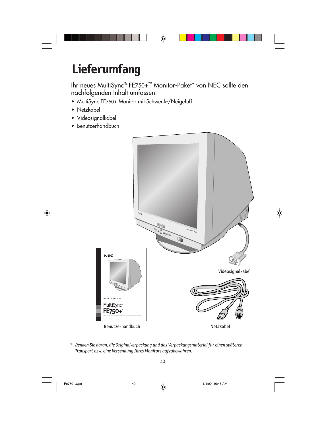

# **Lieferumfang**

Ihr neues MultiSync® FE750+™ Monitor-Paket\* von NEC sollte den nachfolgenden Inhalt umfassen:

- MultiSync FE750+ Monitor mit Schwenk-/Neigefuß
- Netzkabel
- Videosignalkabel
- Benutzerhandbuch



*\* Denken Sie daran, die Originalverpackung und das Verpackungsmaterial für einen späteren Transport bzw. eine Versendung Ihres Monitors aufzubewahren.*

◈

Fe750+.wpc 42 42 11/1/00, 10:46 AM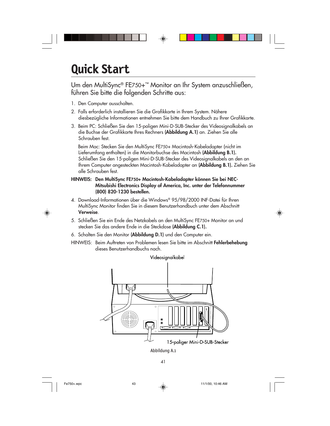# **Quick Start**

Um den MultiSync® FE750+™ Monitor an Ihr System anzuschließen, führen Sie bitte die folgenden Schritte aus:

- 1. Den Computer ausschalten.
- 2. Falls erforderlich installieren Sie die Grafikkarte in Ihrem System. Nähere diesbezügliche Informationen entnehmen Sie bitte dem Handbuch zu Ihrer Grafikkarte.
- 3. Beim PC: Schließen Sie den 15-poligen Mini-D-SUB-Stecker des Videosignalkabels an die Buchse der Grafikkarte Ihres Rechners **(Abbildung A.1)** an. Ziehen Sie alle Schrauben fest.

Beim Mac: Stecken Sie den MultiSync FE750+ Macintosh-Kabeladapter (nicht im Lieferumfang enthalten) in die Monitorbuchse des Macintosh **(Abbildung B.1).** Schließen Sie den 15-poligen Mini-D-SUB-Stecker des Videosignalkabels an den an Ihrem Computer angesteckten Macintosh-Kabeladapter an **(Abbildung B.1).** Ziehen Sie alle Schrauben fest.

- **HINWEIS: Den MultiSync FE750+ Macintosh-Kabeladapter können Sie bei NEC-Mitsubishi Electronics Display of America, Inc. unter der Telefonnummer (800) 820-1230 bestellen.**
- 4. Download-Informationen über die Windows® 95/98/2000 INF-Datei für Ihren MultiSync Monitor finden Sie in diesem Benutzerhandbuch unter dem Abschnitt **Verweise**.
- 5. Schließen Sie ein Ende des Netzkabels an den MultiSync FE750+ Monitor an und stecken Sie das andere Ende in die Steckdose **(Abbildung C.1).**
- 6. Schalten Sie den Monitor **(Abbildung D.1)** und den Computer ein.
- HINWEIS: Beim Auftreten von Problemen lesen Sie bitte im Abschnitt **Fehlerbehebung** dieses Benutzerhandbuchs nach.



Abbildung A.1



Fe750+.wpc 43 11/1/00, 10:46 AM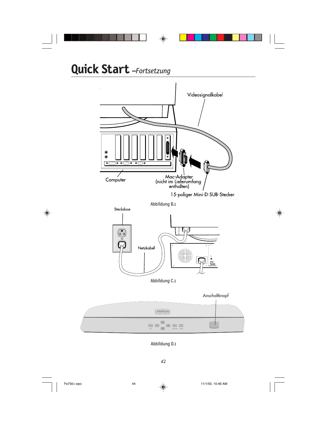

42

Fe750+.wpc 44 11/1/00, 10:46 AM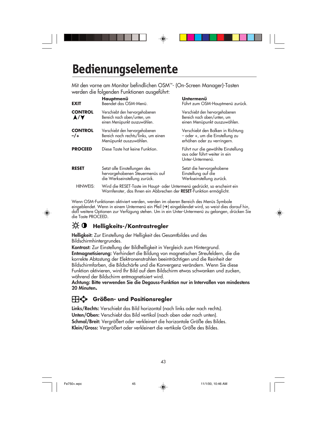# **Bedienungselemente**

Mit den vorne am Monitor befindlichen OSM™- (On-Screen Manager)-Tasten werden die folgenden Funktionen ausgeführt:

| <b>EXIT</b>            | Hauptmenü<br>Beendet das OSM-Menü.                                                                                                              | Untermenü<br>Führt zum OSM-Hauptmenü zurück.                                                        |
|------------------------|-------------------------------------------------------------------------------------------------------------------------------------------------|-----------------------------------------------------------------------------------------------------|
| <b>CONTROL</b><br>A/V  | Verschiebt den hervorgehobenen<br>Bereich nach oben/unten, um<br>einen Menüpunkt auszuwählen.                                                   | Verschiebt den hervorgehobenen<br>Bereich nach oben/unten, um<br>einen Menüpunkt auszuwählen.       |
| <b>CONTROL</b><br>$-1$ | Verschiebt den hervorgehobenen<br>Bereich nach rechts/links, um einen<br>Menüpunkt auszuwählen.                                                 | Verschiebt den Balken in Richtung<br>- oder +, um die Einstellung zu<br>erhöhen oder zu verringern. |
| <b>PROCEED</b>         | Diese Taste hat keine Funktion.                                                                                                                 | Führt nur die gewählte Einstellung<br>aus oder führt weiter in ein<br>Unter-Untermenü.              |
| <b>RESET</b>           | Setzt alle Einstellungen des<br>hervorgehobenen Steuermenüs auf<br>die Werkseinstellung zurück.                                                 | Setzt die hervorgehobene<br>Einstellung auf die<br>Werkseinstellung zurück.                         |
| HINWEIS:               | Wird die RESET-Taste im Haupt- oder Untermenü gedrückt, so erscheint ein<br>Warnfenster, das Ihnen ein Abbrechen der RESET-Funktion ermöglicht. |                                                                                                     |

Wenn OSM-Funktionen aktiviert werden, werden im oberen Bereich des Menüs Symbole eingeblendet. Wenn in einem Untermenü ein Pfeil (➔) eingeblendet wird, so weist dies darauf hin, daß weitere Optionen zur Verfügung stehen. Um in ein Unter-Untermenü zu gelangen, drücken Sie die Taste PROCEED.

### **19. O** Helligkeits-/Kontrastregler

**Helligkeit:** Zur Einstellung der Helligkeit des Gesamtbildes und des Bildschirmhintergrundes.

**Kontrast:** Zur Einstellung der Bildhelligkeit in Vergleich zum Hintergrund. **Entmagnetisierung:** Verhindert die Bildung von magnetischen Streufeldern, die die korrekte Abtastung der Elektronenstrahlen beeinträchtigen und die Reinheit der Bildschirmfarben, die Bildschärfe und die Konvergenz verändern. Wenn Sie diese Funktion aktivieren, wird Ihr Bild auf dem Bildschirm etwas schwanken und zucken, während der Bildschirm entmagnetisiert wird.

**Achtung: Bitte verwenden Sie die Degauss-Funktion nur in Intervallen von mindestens 20 Minuten.**

#### **Größen- und Positionsregler**

**Links/Rechts:** Verschiebt das Bild horizontal (nach links oder nach rechts). **Unten/Oben:** Verschiebt das Bild vertikal (nach oben oder nach unten). **Schmal/Breit:** Vergrößert oder verkleinert die horizontale Größe des Bildes. **Klein/Gross:** Vergrößert oder verkleinert die vertikale Größe des Bildes.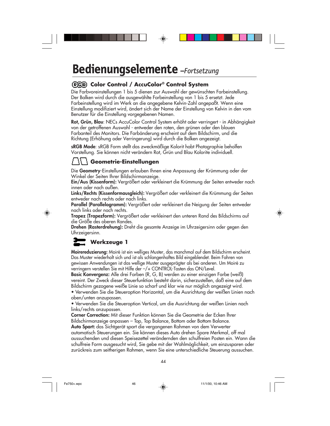### **Bedienungselemente** *–Fortsetzung*

#### **Color Control / AccuColor® Control System**

Die Farbvoreinstellungen 1 bis 5 dienen zur Auswahl der gewünschten Farbeinstellung. Der Balken wird durch die ausgewählte Farbeinstellung von 1 bis 5 ersetzt. Jede Farbeinstellung wird im Werk an die angegebene Kelvin-Zahl angepaßt. Wenn eine Einstellung modifiziert wird, ändert sich der Name der Einstellung von Kelvin in den vom Benutzer für die Einstellung vorgegebenen Namen.

**Rot, Grün, Blau**: NECs AccuColor Control System erhöht oder verringert - in Abhängigkeit von der getroffenen Auswahl - entweder den roten, den grünen oder den blauen Farbanteil des Monitors. Die Farbänderung erscheint auf dem Bildschirm, und die Richtung (Erhöhung oder Verringerung) wird durch die Balken angezeigt.

**sRGB Mode**: sRGB Form stellt das zweckmäßige Kolorit habt Photographie beholfen Vorstellung. Sie können nicht verändern Rot, Grün und Blau Kolorite individuell.

### **Geometrie-Einstellungen**

Die **Geometry**-Einstellungen erlauben Ihnen eine Anpassung der Krümmung oder der Winkel der Seiten Ihrer Bildschirmanzeige.

**Ein/Aus (Kissenform):** Vergrößert oder verkleinert die Krümmung der Seiten entweder nach innen oder nach außen.

**Links/Rechts (Kissenformausgleich):** Vergrößert oder verkleinert die Krümmung der Seiten entweder nach rechts oder nach links.

**Parallel (Parallelogramm):** Vergrößert oder verkleinert die Neigung der Seiten entweder nach links oder nach rechts.

**Trapez (Trapezform):** Vergrößert oder verkleinert den unteren Rand des Bildschirms auf die Größe des oberen Randes.

**Drehen (Rasterdrehung):** Dreht die gesamte Anzeige im Uhrzeigersinn oder gegen den Uhrzeigersinn.

### **Werkzeuge 1**

**Moirereduzierung:** Moiré ist ein welliges Muster, das manchmal auf dem Bildschirm erscheint. Das Muster wiederholt sich und ist als schlangenhaftes Bild eingeblendet. Beim Fahren von gewissen Anwendungen ist das wellige Muster ausgeprägter als bei anderen. Um Moiré zu verringern verstellen Sie mit Hilfe der –/+ CONTROL-Tasten das ON/Level.

**Basic Konvergenz:** Alle drei Farben (R, G, B) werden zu einer einzigen Farbe (weiß) vereint. Der Zweck dieser Steuerfunktion besteht darin, sicherzustellen, daß eine auf dem Bildschirm gezogene weiße Linie so scharf und klar wie nur möglich angezeigt wird. • Verwenden Sie die Steueroption Horizontal, um die Ausrichtung der weißen Linien nach oben/unten anzupassen.

• Verwenden Sie die Steueroption Vertical, um die Ausrichtung der weißen Linien nach links/rechts anzupassen.

**Corner Correction:** Mit dieser Funktion können Sie die Geometrie der Ecken lhrer Bildschirmanzeige anpassen – Top, Top Balance, Bottom oder Bottom Balance. **Auto Spart:** das Sichtgerät spart die vergangenen Rahmen von dem Verwerter automatisch Steuerungen ein. Sie können dieses Auto drehen Spare Merkmal, off mal aussuchenden und diesen Speisezettel verändernden den schulfreien Posten ein. Wann die schulfreie Form ausgesucht wird, Sie gebe mit der Wahlmöglichkeit, um einzusparen oder zurückreis zum seitherigen Rahmen, wenn Sie eine unterschiedliche Steuerung aussuchen.

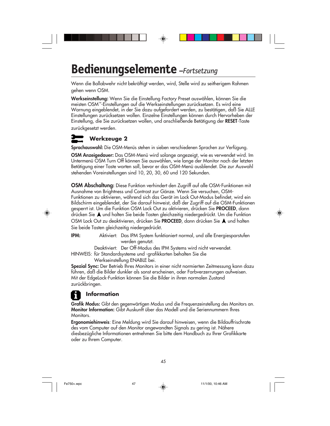### **Bedienungselemente** *–Fortsetzung*

Wenn die Ballabwehr nicht bekräftigt werden, wird, Stelle wird zu seitherigem Rahmen gehen wenn OSM.

**Werkseinstellung:** Wenn Sie die Einstellung Factory Preset auswählen, können Sie die meisten OSM™-Einstellungen auf die Werkseinstellungen zurücksetzen. Es wird eine Warnung eingeblendet, in der Sie dazu aufgefordert werden, zu bestätigen, daß Sie ALLE Einstellungen zurücksetzen wollen. Einzelne Einstellungen können durch Hervorheben der Einstellung, die Sie zurücksetzen wollen, und anschließende Betätigung der **RESET**-Taste zurückgesetzt werden.

### **Werkzeuge 2**

**Sprachauswahl:** Die OSM-Menüs stehen in sieben verschiedenen Sprachen zur Verfügung.

**OSM Anzeigedauer:** Das OSM-Menü wird solange angezeigt, wie es verwendet wird. Im Untermenü OSM Turn Off können Sie auswählen, wie lange der Monitor nach der letzten Betätigung einer Taste warten soll, bevor er das OSM-Menü ausblendet. Die zur Auswahl stehenden Voreinstellungen sind 10, 20, 30, 60 und 120 Sekunden.

**OSM Abschaltung:** Diese Funktion verhindert den Zugriff auf alle OSM-Funktionen mit Ausnahme von Brightness und Contrast zur Gänze. Wenn Sie versuchen, OSM-Funktionen zu aktivieren, während sich das Gerät im Lock Out-Modus befindet, wird ein Bildschirm eingeblendet, der Sie darauf hinweist, daß der Zugriff auf die OSM-Funktionen gesperrt ist. Um die Funktion OSM Lock Out zu aktivieren, drücken Sie **PROCEED**, dann drücken Sie  $\blacktriangle$  und halten Sie beide Tasten gleichzeitig niedergedrückt. Um die Funktion OSM Lock Out zu deaktivieren, drücken Sie PROCEED, dann drücken Sie A und halten Sie beide Tasten gleichzeitig niedergedrückt.

**IPM:** Aktiviert: Das IPM System funktioniert normal, und alle Energiesparstufen werden genutzt.

Deaktiviert: Der Off-Modus des IPM Systems wird nicht verwendet.

HINWEIS: für Standardsysteme und -grafikkarten behalten Sie die Werkseinstellung ENABLE bei.

**Spezial Sync:** Der Betrieb Ihres Monitors in einer nicht normierten Zeitmessung kann dazu führen, daß die Bilder dunkler als sonst erscheinen, oder Farbverzerrungen aufweisen. Mit der EdgeLock-Funktion können Sie die Bilder in ihren normalen Zustand zurückbringen.

### **Information**

**Grafik Modus:** Gibt den gegenwärtigen Modus und die Frequenzeinstellung des Monitors an. **Monitor Information:** Gibt Auskunft über das Modell und die Seriennummern Ihres Monitors.

**Ergonomiehinweis**: Eine Meldung wird Sie darauf hinweisen, wenn die Bildauffrischrate des vom Computer auf den Monitor angewandten Signals zu gering ist. Nähere diesbezügliche Informationen entnehmen Sie bitte dem Handbuch zu Ihrer Grafikkarte oder zu Ihrem Computer.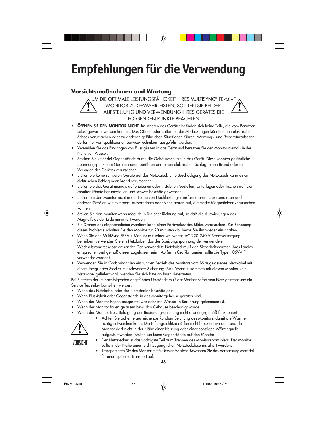# **Empfehlungen für die Verwendung**

#### **Vorsichtsmaßnahmen und Wartung**

UM DIE OPTIMALE LEISTUNGSFÄHIGKEIT IHRES MULTISYNC® FE750+™ MONITOR ZU GEWÄHRLEISTEN, SOLLTEN SIE BEI DER AUFSTELLUNG UND VERWENDUNG IHRES GERÄTES DIE FOLGENDEN PUNKTE BEACHTEN

- **ÖFFNEN SIE DEN MONITOR NICHT.** Im Inneren des Gerätes befinden sich keine Teile, die vom Benutzer selbst gewartet werden können. Das Öffnen oder Entfernen der Abdeckungen könnte einen elektrischen Schock verursachen oder zu anderen gefährlichen Situationen führen. Wartungs- und Reparaturarbeiten dürfen nur von qualifizierten Service-Technikern ausgeführt werden.
- **•** Vermeiden Sie das Eindringen von Flüssigkeiten in das Gerät und benutzen Sie den Monitor niemals in der Nähe von Wasser.
- **•** Stecken Sie keinerlei Gegenstände durch die Gehäuseschlitze in das Gerät. Diese könnten gefährliche Spannungspunkte im Geräteinneren berühren und einen elektrischen Schlag, einen Brand oder ein Versagen des Gerätes verursachen.
- **•** Stellen Sie keine schweren Geräte auf das Netzkabel. Eine Beschädigung des Netzkabels kann einen elektrischen Schlag oder Brand verursachen.
- **•** Stellen Sie das Gerät niemals auf unebenen oder instabilen Gestellen, Unterlagen oder Tischen auf. Der Monitor könnte herunterfallen und schwer beschädigt werden.
- **•** Stellen Sie den Monitor nicht in der Nähe von Hochleistungstransformatoren, Elektromotoren und anderen Geräten wie externen Lautsprechern oder Ventilatoren auf, die starke Magnetfelder verursachen können.
- **•** Stellen Sie den Monitor wenn möglich in östlicher Richtung auf, so daß die Auswirkungen des Magnetfelds der Erde minimiert werden.
- **•** Ein Drehen des eingeschalteten Monitors kann einen Farbverlust des Bildes verursachen. Zur Behebung dieses Problems schalten Sie den Monitor für 20 Minuten ab, bevor Sie ihn wieder einschalten.
- **•** Wenn Sie den MultiSync FE750+ Monitor mit seiner weltweiten AC 220-240 V Stromversorgung betreiben, verwenden Sie ein Netzkabel, das der Speisungsspannung der verwendeten Wechselstromsteckdose entspricht. Das verwendete Netzkabel muß den Sicherheitsnormen Ihres Landes entsprechen und gemäß dieser zugelassen sein. (Außer in Großbritannien sollte die Type H05VV-F verwendet werden).
- **•** Verwenden Sie in Großbritannien ein für den Betrieb des Monitors vom BS zugelassenes Netzkabel mit einem integrierten Stecker mit schwarzer Sicherung (SA). Wenn zusammen mit diesem Monitor kein Netzkabel geliefert wird, wenden Sie sich bitte an Ihren Lieferanten.

Bei Eintreten der im nachfolgenden angeführten Umstände muß der Monitor sofort vom Netz getrennt und ein Service-Techniker konsultiert werden:

- **•** Wenn das Netzkabel oder der Netzstecker beschädigt ist.
- **•** Wenn Flüssigkeit oder Gegenstände in das Monitorgehäuse geraten sind.
- **•** Wenn der Monitor Regen ausgesetzt war oder mit Wasser in Berührung gekommen ist.
- **•** Wenn der Monitor fallen gelassen bzw. das Gehäuse beschädigt wurde.
- **•** Wenn der Monitor trotz Befolgung der Bedienungsanleitung nicht ordnungsgemäß funktioniert.



**•** Achten Sie auf eine ausreichende Rundum-Belüftung des Monitors, damit die Wärme richtig entweichen kann. Die Lüftungsschlitze dürfen nicht blockiert werden, und der Monitor darf nicht in der Nähe einer Heizung oder einer sonstigen Wärmequelle aufgestellt werden. Stellen Sie keine Gegenstände auf den Monitor.

VORSICHT

- **•** Der Netzstecker ist das wichtigste Teil zum Trennen des Monitors vom Netz. Der Monitor sollte in der Nähe einer leicht zugänglichen Netzsteckdose installiert werden.
- **•** Transportieren Sie den Monitor mit äußerster Vorsicht. Bewahren Sie das Verpackungsmaterial für einen späteren Transport auf.

46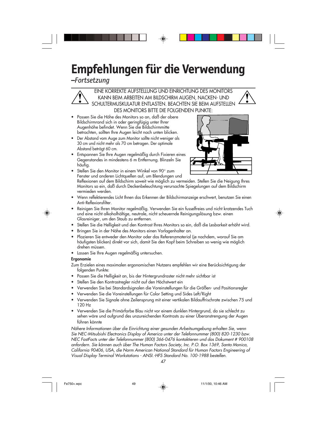# **Empfehlungen für die Verwendung**

*–Fortsetzung*

EINE KORREKTE AUFSTELLUNG UND EINRICHTUNG DES MONITORS KANN BEIM ARBEITEN AM BILDSCHIRM AUGEN, NACKEN- UND SCHULTERMUSKULATUR ENTLASTEN. BEACHTEN SIE BEIM AUFSTELLEN DES MONITORS BITTE DIE FOLGENDEN PUNKTE:

- **•** Passen Sie die Höhe des Monitors so an, daß der obere Bildschirmrand sich in oder geringfügig unter Ihrer Augenhöhe befindet. Wenn Sie die Bildschirmmitte betrachten, sollten Ihre Augen leicht nach unten blicken.
- **•** Der Abstand vom Auge zum Monitor sollte nicht weniger als 30 cm und nicht mehr als 70 cm betragen. Der optimale Abstand beträgt 60 cm.
- **•** Entspannen Sie Ihre Augen regelmäßig durch Fixieren eines Gegenstandes in mindestens 6 m Entfernung. Blinzeln Sie häufig.



- **•** Stellen Sie den Monitor in einem Winkel von 90° zum Fenster und anderen Lichtquellen auf, um Blendungen und Reflexionen auf dem Bildschirm soweit wie möglich zu vermeiden. Stellen Sie die Neigung Ihres Monitors so ein, daß durch Deckenbeleuchtung verursachte Spiegelungen auf dem Bildschirm
- vermieden werden. **•** Wenn reflektierendes Licht Ihnen das Erkennen der Bildschirmanzeige erschwert, benutzen Sie einen Anti-Reflexionsfilter.
- **•** Reinigen Sie Ihren Monitor regelmäßig. Verwenden Sie ein fusselfreies und nicht kratzendes Tuch und eine nicht alkoholhältige, neutrale, nicht scheuernde Reinigungslösung bzw. einen Glasreiniger, um den Staub zu entfernen.
- **•** Stellen Sie die Helligkeit und den Kontrast Ihres Monitors so ein, daß die Lesbarkeit erhöht wird.
- **•** Bringen Sie in der Nähe des Monitors einen Vorlagenhalter an.
- **•** Plazieren Sie entweder den Monitor oder das Referenzmaterial (je nachdem, worauf Sie am häufigsten blicken) direkt vor sich, damit Sie den Kopf beim Schreiben so wenig wie möglich drehen müssen.
- **•** Lassen Sie Ihre Augen regelmäßig untersuchen.

#### **Ergonomie**

- Zum Erzielen eines maximalen ergonomischen Nutzens empfehlen wir eine Berücksichtigung der folgenden Punkte:
- Passen Sie die Helligkeit an, bis der Hintergrundraster nicht mehr sichtbar ist
- Stellen Sie den Kontrastregler nicht auf den Höchstwert ein
- Verwenden Sie bei Standardsignalen die Voreinstellungen für die Größen- und Positionsregler
- Verwenden Sie die Voreinstellungen für Color Setting und Sides Left/Right
- Verwenden Sie Signale ohne Zeilensprung mit einer vertikalen Bildauffrischrate zwischen 75 und 120 Hz
- Verwenden Sie die Primärfarbe Blau nicht vor einem dunklen Hintergrund, da sie schlecht zu sehen wäre und aufgrund des unzureichenden Kontrasts zu einer Überanstrengung der Augen führen könnte

Nähere Informationen über die Einrichtung einer gesunden Arbeitsumgebung erhalten Sie, wenn Sie NEC-Mitsubishi Electronics Display of America unter der Telefonnummer (800) 820-1230 bzw. NEC FastFacts unter der Telefonnummer (800) 366-0476 kontaktieren und das Dokument # 900108 anfordern. Sie können auch über The Human Factors Society, Inc. P.O. Box 1369, Santa Monica, California 90406, USA, die Norm American National Standard für Human Factors Engineering of Visual Display Terminal Workstations - ANSI.-HFS Standard No. 100-1988 bestellen.



Fe750+.wpc  $\downarrow$  11/1/00, 10:46 AM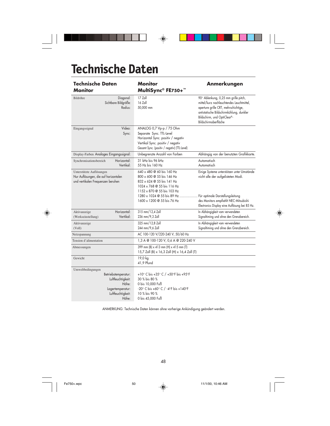# **Technische Daten**

 $\overline{a}$ 

 $\clubsuit$ 

| <b>Technische Daten</b><br><b>Monitor</b>                                                                                | <b>Monitor</b><br>MultiSync® FE750+™                                                                                                                                                                        | <b>Anmerkungen</b>                                                                                                                                                                                                           |
|--------------------------------------------------------------------------------------------------------------------------|-------------------------------------------------------------------------------------------------------------------------------------------------------------------------------------------------------------|------------------------------------------------------------------------------------------------------------------------------------------------------------------------------------------------------------------------------|
| Bildröhre<br>Diagonal:<br>Sichtbare Bildgröße:<br>Radius:                                                                | 17 Zoll<br>$16$ Zoll<br>50,000 mm                                                                                                                                                                           | 90° Ablenkung, 0,25 mm grille pitch,<br>mittel/kurz nachleuchtendes Leuchtmittel,<br>aperture grille CRT, mehrschichtige,<br>antistatische Bildschirmkühlung, dunkler<br>Bildschirm, und OptiClear®-<br>Bildschirmoberfläche |
| Video:<br>Eingangssignal<br>Sync:                                                                                        | ANALOG 0,7 Vp-p / 75 Ohm<br>Separate Sync. TTL-Level<br>Horizontal Sync. positiv / negativ<br>Vertikal Sync. positiv / negativ<br>Gesamt Sync. (positiv / negativ) (TTL-Level)                              |                                                                                                                                                                                                                              |
| Display-Farben Analoges Eingangssignal:                                                                                  | Unbegrenzte Anzahl von Farben                                                                                                                                                                               | Abhängig von der benutzten Grafikkarte.                                                                                                                                                                                      |
| Horizontal:<br>Synchronisationsbereich<br>Vertikal:                                                                      | 31 kHz bis 96 kHz<br>55 Hz bis 160 Hz                                                                                                                                                                       | Automatisch<br>Automatisch                                                                                                                                                                                                   |
| Unterstützte Auflösungen<br>Nur Auflösungen, die auf horizontalen<br>und vertikalen Frequenzen beruhen                   | 640 x 480 @ 60 bis 160 Hz<br>800 x 600 @ 55 bis 146 Hz<br>832 x 624 @ 55 bis 141 Hz<br>1024 x 768 @ 55 bis 116 Hz<br>1152 x 870 @ 55 bis 103 Hz<br>1280 x 1024 @ 55 bis 89 Hz<br>1600 x 1200 @ 55 bis 76 Hz | Einige Systeme unterstützen unter Umstände<br>nicht alle der aufgelisteten Modi.<br>Für optimale Darstellungsleitung<br>des Monitors empfiehlt NEC-Mitsubishi<br>Electronics Display eine Auflösung bei 85 Hz.               |
| Horizontal:<br>Aktivanzeige<br>Vertikal:<br>(Werkseinstellung)                                                           | 315 mm/12,4 Zoll<br>236 mm/9,3 Zoll                                                                                                                                                                         | In Abhängigkeit vom verwendeten<br>Signaltiming und ohne den Grenzbereich.                                                                                                                                                   |
| Aktivanzeige<br>(Voll)                                                                                                   | 325 mm/12,8 Zoll<br>244 mm/9,6 Zoll                                                                                                                                                                         | In Abhängigkeit vom verwendeten<br>Signaltiming und ohne den Grenzbereich.                                                                                                                                                   |
| Netzspannung                                                                                                             | AC 100-120 V/220-240 V, 50/60 Hz                                                                                                                                                                            |                                                                                                                                                                                                                              |
| Tension d'alimentation                                                                                                   | 1,3 A @ 100-120 V, 0,6 A @ 220-240 V                                                                                                                                                                        |                                                                                                                                                                                                                              |
| Abmessungen                                                                                                              | 399 mm (B) x 413 mm (H) x 415 mm (T)<br>15,7 Zoll (B) x 16,3 Zoll (H) x 16,4 Zoll (T)                                                                                                                       |                                                                                                                                                                                                                              |
| Gewicht                                                                                                                  | 19,0 kg<br>41,9 Pfund                                                                                                                                                                                       |                                                                                                                                                                                                                              |
| Umweltbedingungen<br>Betriebstemperatur:<br>Luftfeuchtigkeit:<br>Höhe:<br>Lagertemperatur:<br>Luftfeuchtigkeit:<br>Höhe: | +10° C bis +35° C / +50°F bis +95°F<br>30 % bis 80 %<br>0 bis 10,000 Fuß<br>-20° C bis +60° C / -4°F bis +140°F<br>10 % bis 90 %<br>0 bis 45,000 Fuß                                                        |                                                                                                                                                                                                                              |

 $\Rightarrow$ 

 $\mathsf{L}$ 

 $\bigoplus$ 

ANMERKUNG: Technische Daten können ohne vorherige Ankündigung geändert werden.

48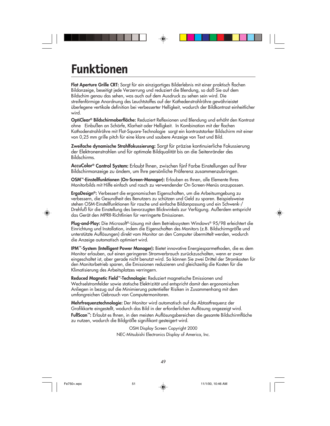### **Funktionen**

**Flat Aperture Grille CRT:** Sorgt für ein einzigartiges Bilderlebnis mit einer praktisch flachen Bildanzeige, beseitigt jede Verzerrung und reduziert die Blendung, so daß Sie auf dem Bildschim genau das sehen, was auch ouf dem Ausdruck zu sehen sein wird. Die streifenförmige Anordnung des Leuchtstoffes auf der Kathedenstrahlröhre gewährieistet überlegene vertikale definition bei verbesserter Helligkeit, wodurch der Bildkontrast einheitlicher wird.

**OptiClear® Bildschirmoberfläche:** Reduziert Reflexionen und Blendung und erhöht den Kontrast ohne Einbußen an Schärfe, Klarheit oder Helligkeit. In Kombination mit der flachen Kathodenstrahlröhre mit Flat-Square-Technologie sorgt ein kontraststarker Bildschirm mit einer von 0,25 mm grille pitch für eine klare und saubere Anzeige von Text und Bild.

**Zweifache dynamische Strahlfokussierung:** Sorgt für präzise kontinuierliche Fokussierung der Elektronenstrahlen und für optimale Bildqualität bis an die Seitenränder des Bildschirms.

**AccuColor® Control System:** Erlaubt lhnen, zwischen fünf Farbe Einstellungen auf lhrer Bildschirmanzeige zu ändem, um lhre persönliche Präferenz zusammenzubringen.

**OSM™-Einstellfunktionen (On-Screen-Manager):** Erlauben es Ihnen, alle Elemente Ihres Monitorbilds mit Hilfe einfach und rasch zu verwendender On-Screen-Menüs anzupassen.

**ErgoDesign®:** Verbessert die ergonomischen Eigenschaften, um die Arbeitsumgebung zu verbessern, die Gesundheit des Benutzers zu schützen und Geld zu sparen. Beispielsweise stehen OSM-Einstellfunktionen für rasche und einfache Bildanpassung und ein Schwenk-/ Drehfuß für die Einstellung des bevorzugten Blickwinkels zur Verfügung. Außerdem entspricht das Gerät den MPRII-Richtlinien für verringerte Emissionen.

**Plug-and-Play:** Die Microsoft®-Lösung mit dem Betriebssystem Windows® 95/98 erleichtert die Einrichtung und Installation, indem die Eigenschaften des Monitors (z.B. Bildschirmgröße und unterstützte Auflösungen) direkt vom Monitor an den Computer übermittelt werden, wodurch die Anzeige automatisch optimiert wird.

**IPM™-System (Intelligent Power Manager):** Bietet innovative Energiesparmethoden, die es dem Monitor erlauben, auf einen geringeren Stromverbrauch zurückzuschalten, wenn er zwar eingeschaltet ist, aber gerade nicht benutzt wird. So können Sie zwei Drittel der Stromkosten für den Monitorbetrieb sparen, die Emissionen reduzieren und gleichzeitig die Kosten für die Klimatisierung des Arbeitsplatzes verringern.

**Reduced Magnetic Field™-Technologie:** Reduziert magnetische Emissionen und Wechselstromfelder sowie statische Elektrizität und entspricht damit den ergonomischen Anliegen in bezug auf die Minimierung potentieller Risiken in Zusammenhang mit dem umfangreichen Gebrauch von Computermonitoren.

**Mehrfrequenztechnologie:** Der Monitor wird automatisch auf die Abtastfrequenz der Grafikkarte eingestellt, wodurch das Bild in der erforderlichen Auflösung angezeigt wird. **FullScan™:** Erlaubt es Ihnen, in den meisten Auflösungsbereichen die gesamte Bildschirmfläche zu nutzen, wodurch die Bildgröße signifikant gesteigert wird.

> OSM Display Screen Copyright 2000 NEC-Mitsubishi Electronics Display of America, Inc.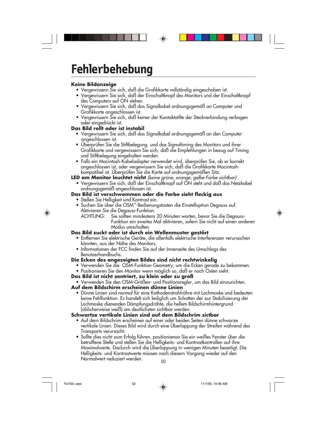### **Fehlerbehebung**

#### **Keine Bildanzeige**

- Vergewissern Sie sich, daß die Grafikkarte vollständig eingeschoben ist.
- Vergewissern Sie sich, daß der Einschaltknopf des Monitors und der Einschaltknopf des Computers auf ON stehen.
- Vergewissern Sie sich, daß das Signalkabel ordnungsgemäß an Computer und Grafikkarte angeschlossen ist.
- Vergewissern Sie sich, daß keiner der Kontaktstifte der Steckverbindung verbogen oder eingedrückt ist.

#### **Das Bild rollt oder ist instabil**

- Vergewissern Sie sich, daß das Signalkabel ordnungsgemäß an den Computer angeschlossen ist.
- Überprüfen Sie die Stiftbelegung und das Signaltiming des Monitors und ihrer Grafikkarte und vergewissern Sie sich, daß die Empfehlungen in bezug auf Timing und Stiftbelegung eingehalten werden.
- Falls ein Macintosh-Kabeladapter verwendet wird, überprüfen Sie, ob er korrekt angeschlossen ist, oder vergewissern Sie sich, daß die Grafikkarte Macintoshkompatibel ist. Überprüfen Sie die Karte auf ordnungsgemäßen Sitz.

**LED am Monitor leuchtet nicht** (keine grüne, orange, gelbe Farbe sichtbar)

• Vergewissern Sie sich, daß der Einschaltknopf auf ON steht und daß das Netzkabel ordnungsgemäß angeschlossen ist.

### **Das Bild ist verschwommen oder die Farbe sieht fleckig aus**

- Stellen Sie Helligkeit und Kontrast ein.
- Suchen Sie über die OSM™-Bedienungstasten die Einstelloption Degauss auf. Aktivieren Sie die Degauss-Funktion.

ACHTUNG: Sie sollten mindestens 20 Minuten warten, bevor Sie die Degauss-Funktion ein zweites Mal aktivieren, sofern Sie nicht auf einen anderen Modus umschalten.

#### **Das Bild zuckt oder ist durch ein Wellenmuster gestört**

- Entfernen Sie elektrische Geräte, die allenfalls elektrische Interferenzen verursachen könnten, aus der Nähe des Monitors.
- Informationen der FCC finden Sie auf der Innenseite des Umschlags des Benutzerhandbuchs.

#### **Die Ecken des angezeigten Bildes sind nicht rechtwinkelig**

- Verwenden Sie die OSM-Funktion Geometry, um die Ecken gerade zu bekommen.
- Positionieren Sie den Monitor wenn möglich so, daß er nach Osten sieht.
- **Das Bild ist nicht zentriert, zu klein oder zu groß**
	- Verwenden Sie den OSM-Größen- und Positionsregler, um das Bild einzurichten.

#### **Auf dem Bildschirm erscheinen dünne Linien**

• Dünne Linien sind normal für eine Kathodenstrahlröhre mit Lochmaske und bedeuten keine Fehlfunktion. Es handelt sich lediglich um Schatten der zur Stabilisierung der Lochmaske dienenden Dämpfungsdrähte, die hellem Bildschirmhintergrund (üblicherweise weiß) am deutlichsten sichtbar werden.

#### **Schwartze vertikale Linien sind auf dem Bildschrim sictbar**

- Auf dern Bildschrim erscheinen auf einer oder beiden Seiten dünne schwarze vertikale Linien. Dieses Bild wird durch eine Überlappung der Streifen während des Transports verursacht.
- Sollte dies nicht zum Erfolg führen, positionienon Sie ein weißes Fenster über die betraffene Stelle und stellen Sie die Helligkeits- und Kontrastkontrollen auf ihre Maximalwerte. Daclurch wird die Überlappung in wenigen Minuten beseitigt. Die Helligkeits- und Kontrastwerte müssen nach diesern Vorgang wieder auf den Normalwert reduziert werden.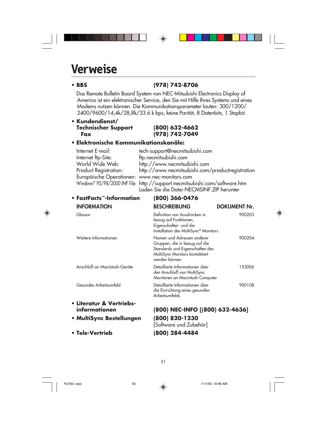### **Verweise**

◈

### **• BBS (978) 742-8706**

Das Remote Bulletin Board System von NEC-Mitsubishi Electronics Display of America ist ein elektronischer Service, den Sie mit Hilfe Ihres Systems und eines Modems nutzen können. Die Kommunikationsparameter lauten: 300/1200/ 2400/9600/14,4k/28,8k/33.6 k bps, keine Parität, 8 Datenbits, 1 Stopbit.

◈

#### **• Kundendienst/ Technischer Support (800) 632-4662 Fax (978) 742-7049**

#### **• Elektronische Kommunikationskanäle:**

| Internet E-mail:                              | tech-support@necmitsubishi.com                                              |
|-----------------------------------------------|-----------------------------------------------------------------------------|
| Internet ftp-Site:                            | ftp.necmitsubishi.com                                                       |
| World Wide Web:                               | http://www.necmitsubishi.com                                                |
| Product Registration:                         | http://www.necmitsubishi.com/productregistration                            |
| Europäische Operationen: www.nec-monitors.com |                                                                             |
|                                               | Windows® 95/98/2000 INF File: http://support.necmitsubishi.com/software.htm |
|                                               | Laden Sie die Datei NECMSINF. ZIP herunter                                  |

| ● FastFacts™-Information     | (800) 366-0476                                                                                                                                    |                     |
|------------------------------|---------------------------------------------------------------------------------------------------------------------------------------------------|---------------------|
| <b>INFORMATION</b>           | <b>BESCHREIBUNG</b>                                                                                                                               | <b>DOKUMENT Nr.</b> |
| Glossar                      | Definition von Ausdrücken in<br>bezug auf Funktionen,<br>Eigenschaften und die<br>Installation des MultiSync <sup>®</sup> Monitors                | 900203              |
| Weitere Informationen        | Namen und Adressen anderer<br>Gruppen, die in bezug auf die<br>Standards und Eigenschaften des<br>MultiSync Monitors kontaktiert<br>werden können | 900204              |
| Anschluß an Macintosh-Geräte | Detaillierte Informationen über<br>den Anschluß von MultiSync<br>Monitoren an Macintosh-Computer                                                  | 153006              |
| Gesundes Arbeitsumfeld       | Detaillierte Informationen über<br>die Einrichtung eines gesunden<br>Arbeitsumfelds                                                               | 900108              |
| • Literatur & Vertriebs-     |                                                                                                                                                   |                     |
| informationen                | (800) NEC-INFO [(800) 632-4636]                                                                                                                   |                     |
| • MultiSync Bestellungen     | (800) 820-1230<br>[Software und Zubehör]                                                                                                          |                     |
| • Tele-Vertrieb              | 800) 284-4484                                                                                                                                     |                     |

51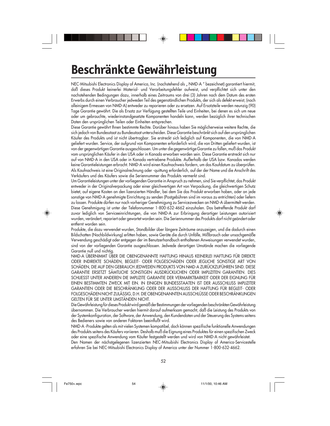### **Beschränkte Gewährleistung**

NEC-Mitsubishi Electronics Display of America, Inc. (nachstehend als " NMD-A " bezeichnet) garantiert hiermit, daß dieses Produkt keinerlei Material- und Verarbeitungsfehler aufweist, und verpflichtet sich unter den nachstehenden Bedingungen dazu, innerhalb eines Zeitraums von drei (3) Jahren nach dem Datum des ersten Erwerbs durch einen Verbraucher jedweden Teil des gegenständlichen Produkts, der sich als defekt erweist, (nach alleinigem Ermessen von NMD-A) entweder zu reparieren oder zu ersetzen. Auf Ersatzteile werden neunzig (90) Tage Garantie gewährt. Die als Ersatz zur Verfügung gestellten Teile und Einheiten, bei denen es sich um neue oder um gebrauchte, wiederinstandgesetzte Komponenten handeln kann, werden bezüglich ihrer technischen Daten den ursprünglichen Teilen oder Einheiten entsprechen.

Diese Garantie gewährt Ihnen bestimmte Rechte. Darüber hinaus haben Sie möglicherweise weitere Rechte, die sich jedoch von Bundesstaat zu Bundesstaat unterscheiden. Diese Garantie beschränkt sich auf den ursprünglichen Käufer des Produkts und ist nicht übertragbar. Sie erstreckt sich lediglich auf Komponenten, die von NMD-A geliefert wurden. Service, der aufgrund von Komponenten erforderlich wird, die von Dritten geliefert wurden, ist von der gegenwärtigen Garantie ausgeschlossen. Um unter die gegenwärtige Garantie zu fallen, muß das Produkt vom ursprünglichen Käufer in den USA oder in Kanada erworben worden sein. Diese Garantie erstreckt sich nur auf von NMD-A in den USA oder in Kanada vertriebene Produkte. Außerhalb der USA bzw. Kanadas werden keine Garantieleistungen erbracht. NMD-A wird einen Kaufnachweis fordern, um das Kaufdatum zu überprüfen. Als Kaufnachweis ist eine Originalrechnung oder -quittung erforderlich, auf der der Name und die Anschrift des Verkäufers und des Käufers sowie die Seriennummer des Produkts vermerkt sind.

Um Garantieleistungen unter der vorliegenden Garantie in Anspruch zu nehmen, sind Sie verpflichtet, das Produkt entweder in der Originalverpackung oder einer gleichwertigen Art von Verpackung, die gleichwertigen Schutz bietet, auf eigene Kosten an den lizenzierten Händler, bei dem Sie das Produkt erworben haben, oder an jede sonstige von NMD-A genehmigte Einrichtung zu senden (Postgebühren sind im voraus zu entrichten) oder liefern zu lassen. Produkte dürfen nur nach vorheriger Genehmigung zu Servicezwecken an NMD-A übermittelt werden. Diese Genehmigung ist unter der Telefonnummer 1-800-632-4662 einzuholen. Das betreffende Produkt darf zuvor lediglich von Serviceeinrichtungen, die von NMD-A zur Erbringung derartiger Leistungen autorisiert wurden, verändert, repariert oder gewartet worden sein. Die Seriennummer des Produkts darf nicht geändert oder entfernt worden sein.

Produkte, die dazu verwendet wurden, Standbilder über längere Zeiträume anzuzeigen, und die dadurch einen Bildschatten (Nachbildwirkung) erlitten haben, sowie Geräte die durch Unfälle, Mißbrauch oder unsachgemäße Verwendung geschädigt oder entgegen der im Benutzerhandbuch enthaltenen Anweisungen verwendet wurden, sind von der vorliegenden Garantie ausgeschlossen. Jedwede derartigen Umstände machen die vorliegende Garantie null und nichtig.

NMD-A ÜBERNIMMT ÜBER DIE OBENGENANNTE HAFTUNG HINAUS KEINERLEI HAFTUNG FÜR DIREKTE ODER INDIREKTE SCHÄDEN, BEGLEIT- ODER FOLGESCHÄDEN ODER JEGLICHE SONSTIGE ART VON SCHÄDEN, DIE AUF DEN GEBRAUCH JEDWEDEN PRODUKTS VON NMD-A ZURÜCKZUFÜHREN SIND. DIESE GARANTIE ERSETZT SÄMTLICHE SONSTIGEN AUSDRÜCKLICHEN ODER IMPLIZITEN GARANTIEN. DIES SCHLIESST UNTER ANDEREN DIE IMPLIZITE GARANTIE DER VERMARKTBARKEIT ODER DER EIGNUNG FÜR EINEN BESTIMMTEN ZWECK MIT EIN. IN EINIGEN BUNDESSTAATEN IST DER AUSSCHLUSS IMPLIZITER GARANTIEN ODER DIE BESCHRÄNKUNG ODER DER AUSSCHLUSS DER HAFTUNG FÜR BEGLEIT- ODER FOLGESCHÄDEN NICHT ZULÄSSIG, D.H. DIE OBENGENANNTEN AUSSCHLÜSSE ODER BESCHRÄNKUNGEN GELTEN FÜR SIE UNTER UMSTÄNDEN NICHT.

Die Gewährleistung für dieses Produkt wird gemäß der Bestimmungen der vorliegenden beschränkten Gewährleistung übernommen. Die Verbraucher werden hiermit darauf aufmerksam gemacht, daß die Leistung des Produkts von der Systemkonfiguration, der Software, der Anwendung, den Kundendaten und der Steuerung des Systems seitens des Bedieners sowie von anderen Faktoren beeinflußt wird.

NMD-A -Produkte gelten als mit vielen Systemen kompatibel, doch können spezifische funktionelle Anwendungen des Produkts seitens des Käufers variieren. Deshalb muß die Eignung eines Produktes für einen spezifischen Zweck oder eine spezifische Anwendung vom Käufer festgestellt werden und wird von NMD-A nicht gewährleistet. Den Namen der nächstgelegenen lizenzierten NEC-Mitsubishi Electronics Display of America-Servicestelle erfahren Sie bei NEC-Mitsubishi Electronics Display of America unter der Nummer 1-800-632-4662.

52

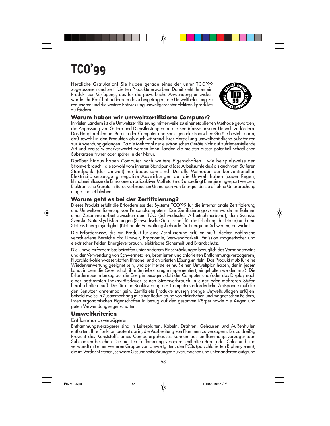# **TCO'99**

Herzliche Gratulation! Sie haben gerade eines der unter TCO'99 zugelassenen und zertifizierten Produkte erworben. Damit steht lhnen ein Produkt zur Verfügung, das für die gewerbliche Anwendung entwickelt wurde. Ihr Kauf hat außerdem dazu beigetragen, die Umweltbelastung zu reduzieren und die weitere Entwicklung umweltgerechter Elektronikprodukte zu fördern.



#### **Warum haben wir umweltzertifizierte Computer?**

In vielen Ländern ist die Umweltzertifizierung mittlerweile zu einer etablierten Methode geworden, die Anpassung von Gütern und Dienstleistungen an die Bedürfnisse unserer Umwelt zu fördern. Das Hauptproblem im Bereich der Computer und sonstigen elektronischen Geräte besteht darin, daß sowohl in den Produkten als auch während ihrer Herstellung umweltschädliche Substanzen zur Anwendung gelangen. Da die Mehrzahl der elektronischen Geräte nicht auf zufriedenstellende Art und Weise wiederverwertet werden kann, landen die meisten dieser potentiell schädlichen Substanzen früher oder später in der Natur.

Darüber hinaus haben Computer noch weitere Eigenschaften - wie beispielsweise den Stromverbrauch - die sowohl vom inneren Standpunkt (des Arbeitsumfeldes) als auch vom äußeren Standpunkt (der Umwelt) her bedeutsam sind. Da alle Methoden der konventionellen Elektrizitätserzeugung negative Auswirkungen auf die Umwelt haben (sauer Regen, klimabeeinflussende Emissionen, radioaktiver Müll etc.) muß unbedingt Energie eingespart werden. Elektronische Geräte in Büros verbrauchen Unmengen von Energie, da sie oft ohne Unterbrechung eingeschaltet bleiben.

#### **Worum geht es bei der Zertifizierung?**

Dieses Produkt erfüllt die Erfordernisse des Systems TCO'99 für die internationale Zertifizierung und Umweltzertifizierung von Personalcomputern. Das Zertifizierungssystem wurde im Rahmen einer Zusammenarbeit zwischen dem TCO (Schwedischer Arbeitnehmerbund), dem Svenska Svenska Naturskyddsforeningen (Schwedische Geselischaft für die Erhaltung der Natur) und dem Statens Energimyndighet (Nationale Verwaltungsbehörde für Energie in Schweden) entwickelt.

Die Erfordernisse, die ein Produkt für eine Zertifizierung erfüllen muß, decken zahlreiche verschiedene Bereiche ab: Umwelt, Ergonomie, Verwendbarkeit, Emission magnetischer und elektrischer Felder, Energieverbrauch, elektrische Sicherheit und Brandschutz.

Die Umwelterfordernisse betreffen unter anderem Einschränkungen bezüglich des Vorhandenseins und der Verwendung von Schwermetallen, bromierten und chlorierten Entflammungsverzögerern, Fluorchlorkohlenwasserstoffen (Freone) und chlorierten Lösungsmitteln. Das Produkt muß für eine Wiederverwertung geeignet sein, und der Hersteller muß einen Umweltplan haben, der in jedem Land, in dem die Gesellschaft ihre Betriebsstrategie implementiert, eingehalten werden muß. Die Erfordernisse in bezug auf die Energie besagen, daß der Computer und/oder das Display nach einer bestimmten Inaktivitätsdauer seinen Stromverbrauch in einer oder mehreren Stufen herabschalten muß. Die für eine Reaktivierung des Computers erforderliche Zeitspanne muß für den Benutzer annehmbar sein. Zertifiziete Produkte müssen strenge Umweltauflagen erfüllen, beispielsweise in Zusammenhang mit einer Reduzierung von elektrischen und magnetischen Feldern, ihren ergonomischen Eigenschaften in bezug auf den gesamten Körper sowie die Augen und guten Verwendungseigenschaften.

#### **Umweltkriterien**

#### Entflammungsverzögerer

Entflammungsverzögerer sind in Leiterplatten, Kabeln, Drähten, Gehäusen und Außenhüllen enthalten. Ihre Funktion besteht darin, die Ausbreitung von Flammen zu verzögern. Bis zu dreißig Prozent des Kunststoffs eines Computergehäuses können aus entflammungsverzögernden Substanzen bestehen. Die meisten Entflammungsverögerer enthalten Brom oder Chlor und sind verwandt mit einer weiteren Gruppe von Umweltgiften, den PCBs (polychlorierten Biphenylenen), die im Verdacht stehen, schwere Gesundheitsstörungen zu verursachen und unter anderem aufgrund

53



Fe750+.wpc 55  $\downarrow$  11/1/00, 10:46 AM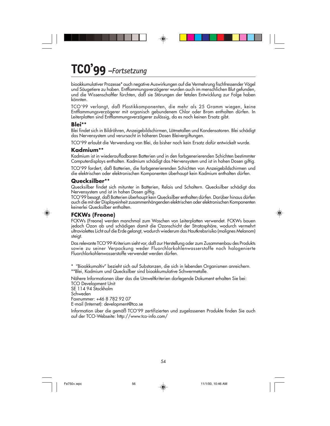# **TCO'99** *–Fortsetzung*

bioakkumulativer Prozesse\* auch negative Auswirkungen auf die Vermehrung fischfressender Vögel und Säugetiere zu haben. Entflammungsverzögerer wurden auch im menschlichen Blut gefunden, und die Wissenschaftler fürchten, daß sie Störungen der fetalen Entwicklung zur Folge haben könnten.

TCO'99 verlangt, daß Plastikkomponenten, die mehr als 25 Gramm wiegen, keine Entflammungsverzögerer mit organisch gebundenem Chlor oder Brom enthalten dürfen. In Leiterplatten sind Entflammungsverzögerer zulässig, da es noch keinen Ersatz gibt.

#### **Blei\*\***

Blei findet sich in Bildröhren, Anzeigebildschirmen, Lötmetallen und Kondensatoren. Blei schädigt das Nervensystem und verursacht in höheren Dosen Bleivergiftungen.

TCO'99 erlaubt die Verwendung von Blei, da bisher noch kein Ersatz dafür entwickelt wurde.

#### **Kadmium\*\***

Kadmium ist in wiederaufladbaren Batterien und in den farbgenerierenden Schichten bestimmter Computerdisplays enthalten. Kadmium schädigt das Nervensystem und ist in hohen Dosen giftig.

TCO'99 fordert, daß Batterien, die farbgenerierenden Schichten von Anzeigebildschirmen und die elektrischen oder elektronischen Komponenten überhaupt kein Kadmium enthalten dürfen.

#### **Quecksilber\*\***

Quecksilber findet sich mitunter in Batterien, Relais und Schaltern. Quecksilber schädigt das Nervensystem und ist in hohen Dosen giftig.

TCO'99 besagt, daß Batterien überhaupt kein Quecksilber enthalten dürfen. Darüber hinaus dürfen auch die mit der Displayeinheit zusammenhängenden elektrischen oder elektronischen Komponenten keinerlei Quecksilber enthalten.

#### **FCKWs (Freone)**

FCKWs (Freone) werden manchmal zum Waschen von Leiterplatten verwendet. FCKWs bauen jedoch Ozon ab und schädigen damit die Ozonschicht der Stratosphäre, wodurch vermehrt ultraviolettes Licht auf die Erde gelangt, wodurch wiederum das Hautkrebsrisiko (malignes Melanom) steigt.

Das relevante TCO'99-Kriterium sieht vor, daß zur Herstellung oder zum Zusammenbau des Produkts sowie zu seiner Verpackung weder Fluorchlorkohlenwasserstoffe noch halogenierte Fluorchlorkohlenwasserstoffe verwendet werden dürfen.

\* "Bioakkumaltiv" bezieht sich auf Substanzen, die sich in lebenden Organismen anreichern. \*\*Blei, Kadmium und Quecksilber sind bioakkumulative Schwermetalle.

Nähere Informationen über das die Umweltkriterien darlegende Dokument erhalten Sie bei: TCO Development Unit

SE 114 94 Stockholm Schweden Faxnummer: +46 8 782 92 07 E-mail (Internet): development@tco.se

Information über die gemäß TCO'99 zertifizierten und zugelassenen Produkte finden Sie auch auf der TCO-Webseite: http://www.tco-info.com/

54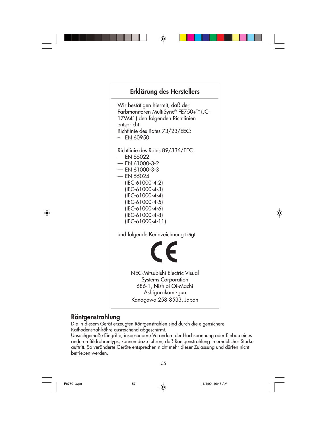

#### **Röntgenstrahlung**

Die in diesem Gerät erzeugten Röntgenstrahlen sind durch die eigensichere Kathodenstrahlröhre ausreichend abgeschirmt.

Unsachgemäße Eingriffe, insbesondere Verändern der Hochspannung oder Einbau eines anderen Bildröhrentyps, können dazu führen, daß Röntgenstrahlung in erheblicher Stärke auftritt. So veränderte Geräte entsprechen nicht mehr dieser Zulassung und dürfen nicht betrieben werden.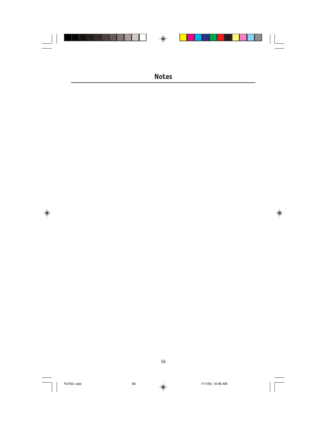

 $\Rightarrow$ 

56

Fe750+.wpc 58 11/1/00, 10:46 AM

 $\clubsuit$ 

 $\frac{1}{\sqrt{1-\frac{1}{2}}}$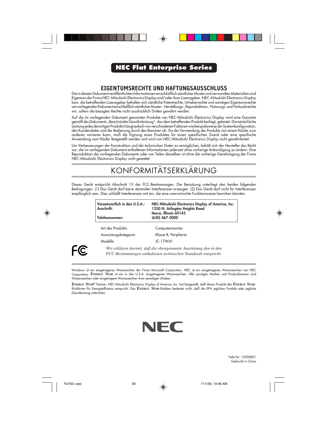#### **NEC Flat Enterprise Series**

#### **EIGENTUMSRECHTE UND HAFTUNGSAUSSCHLUSS**

Die in diesem Dokument veröffentlichten Informationen einschließlich sämtlicher Muster und verwandten Materialien sind Eigentum der Firma NEC-Mitsubishi Electronics Display und/oder ihrer Lizenzgeber. NEC-Mitsubishi Electronics Display bzw. die betreffenden Lizenzgeber behalten sich sämtliche Patentrechte, Urheberrechte und sonstigen Eigentumsrechte am vorliegenden Dokument einschließlich sämtlicher Muster-, Herstellungs-, Reproduktions-, Nutzungs- und Verkaufsrechte vor, sofern die besagten Rechte nicht ausdrücklich Dritten gewährt werden.

Auf die im vorliegenden Dokument genannten Produkte von NEC-Mitsubishi Electronics Display wird eine Garantie gemäß des Dokuments "Beschränkte Gewährleistung", das dem betreffenden Produkt beiliegt, geleistet. Die tatsächliche Leistung jedes derartigen Produkts hängt jedoch von verschiedenen Faktoren wie beispielsweise der Systemkonfiguration, den Kundendaten und der Bedienung durch den Benutzer ab. Da die Verwendung des Produkts von einem Käufer zum anderen variieren kann, muß die Eignung eines Produktes für einen spezifischen Zweck oder eine spezifische Anwendung vom Käufer festgestellt werden und wird von NEC-Mitsubishi Electronics Display nicht gewährleistet.

Um Verbesserungen der Konstruktion und der technischen Daten zu ermöglichen, behält sich der Hersteller das Recht vor, die im vorliegenden Dokument enthaltenen Informationen jederzeit ohne vorherige Ankündigung zu ändern. Eine Reproduktion des vorliegenden Dokuments oder von Teilen desselben ist ohne die vorherige Genehmigung der Firma NEC-Mitsubishi Electronics Display nicht gestattet.

### KONFORMITÄTSERKLÄRUNG

Dieses Gerät entspricht Abschnitt 15 der FCC-Bestimmungen. Die Benutzung unterliegt den beiden folgenden Bedingungen: (1) Das Gerät darf keine störenden Interferenzen erzeugen. (2) Das Gerät darf nicht für Interferenzen empfänglich sein. Dies schließt Interferenzen mit ein, die eine unerwünschte Funktionsweise bewirken könnten.

| Verantwortlich in den U.S.A.:<br>Anschrift:<br>Telefonnummer: | NEC-Mitsubishi Electronics Display of America, Inc.<br>1250 N. Arlington Heights Road<br>Itasca, Illinois 60143<br>(630) 467-3000 |
|---------------------------------------------------------------|-----------------------------------------------------------------------------------------------------------------------------------|
| Art des Produkts:                                             | Computermonitor                                                                                                                   |
| Ausrüstungskategorie:                                         | Klasse B, Peripherie                                                                                                              |
| Modelle:                                                      | JC-17W41                                                                                                                          |
|                                                               | Wir erklären hiermit, daß die obenoenannte Ausrüstung den in den                                                                  |

*Wir erklären hiermit, daß die obengenannte Ausrüstung den in den FCC-Bestimmungen enthaltenen technischen Standards entspricht.*

Windows ist ein eingetragenes Warenaichen der Firma Microsoft Corporation. NEC ist ein eingetragenes Warenzeichen von NEC Corporation. **ENERGY STAR** ist ein in den U.S.A. eingetragenes Warenzeichen. Alle sonstigen Marken und Producktnamen sind Wayenzeichen oder eingetragere Warenzeichen ihrer jeweiligen Inhaber.

**ENERGY STAR®** Partner: NEC-Mitsubishi Electronics Display of America, Inc. hat festgestellt, daß dieses Produkt den **ENERGY STAR**-Richtlinien für Energieeffizienz entspricht. Das **ENERGY STAR**-Emblem bedeutet nicht, daß die EPA jegliches Produkt oder jegliche Dienstleistung unterstützt.



Teile Nr. 15500801 Gedruckt in China

FC.